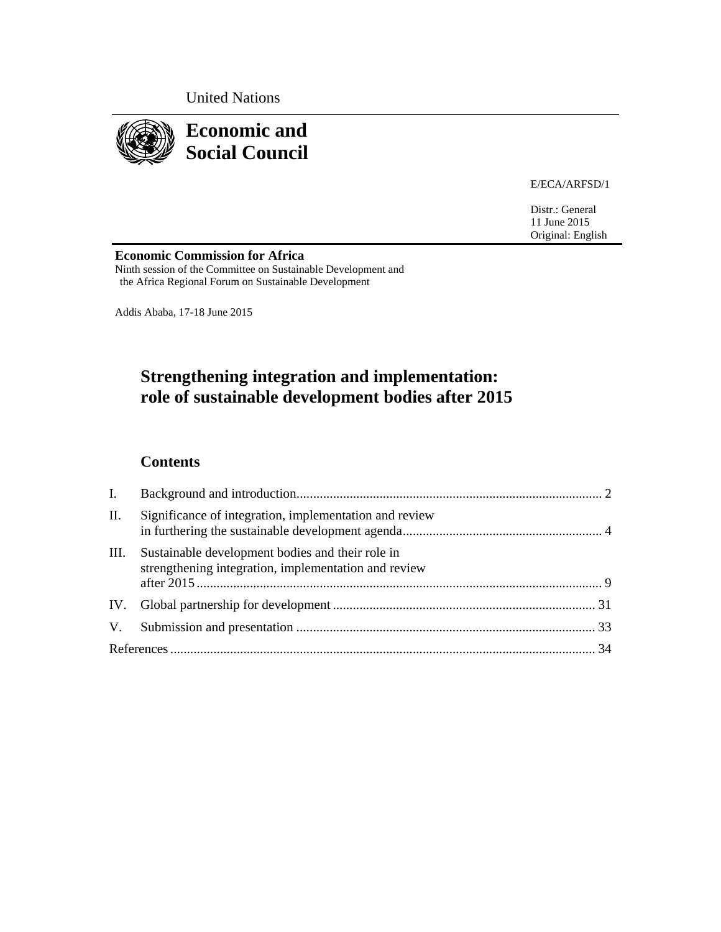United Nations



E/ECA/ARFSD/1

Distr.: General 11 June 2015 Original: English

**Economic Commission for Africa**<br>Ninth session of the Committee on Sustainable Development and the Africa Regional Forum on Sustainable Development

Addis Ababa, 17-18 June 2015

# **Strengthening integration and implementation: role of sustainable development bodies after 2015**

# **Contents**

| $\mathbf{I}$ . |                                                                                                          |  |
|----------------|----------------------------------------------------------------------------------------------------------|--|
| П.             | Significance of integration, implementation and review                                                   |  |
| Ш.             | Sustainable development bodies and their role in<br>strengthening integration, implementation and review |  |
|                |                                                                                                          |  |
|                |                                                                                                          |  |
|                |                                                                                                          |  |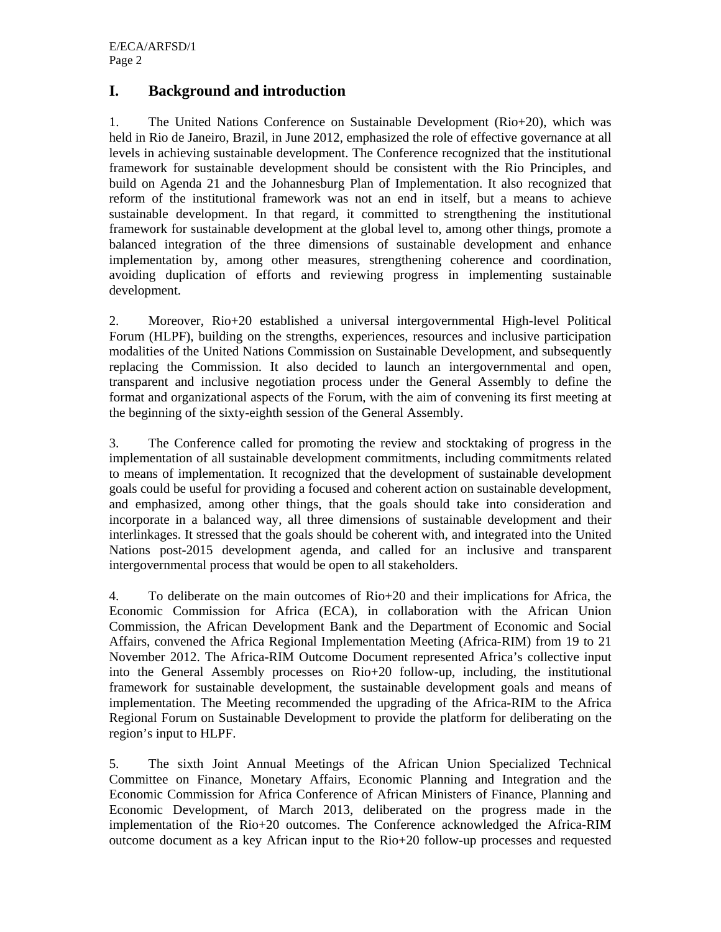# **I. Background and introduction**

1. The United Nations Conference on Sustainable Development (Rio+20), which was held in Rio de Janeiro, Brazil, in June 2012, emphasized the role of effective governance at all levels in achieving sustainable development. The Conference recognized that the institutional framework for sustainable development should be consistent with the Rio Principles, and build on Agenda 21 and the Johannesburg Plan of Implementation. It also recognized that reform of the institutional framework was not an end in itself, but a means to achieve sustainable development. In that regard, it committed to strengthening the institutional framework for sustainable development at the global level to, among other things, promote a balanced integration of the three dimensions of sustainable development and enhance implementation by, among other measures, strengthening coherence and coordination, avoiding duplication of efforts and reviewing progress in implementing sustainable development.

2. Moreover, Rio+20 established a universal intergovernmental High-level Political Forum (HLPF), building on the strengths, experiences, resources and inclusive participation modalities of the United Nations Commission on Sustainable Development, and subsequently replacing the Commission. It also decided to launch an intergovernmental and open, transparent and inclusive negotiation process under the General Assembly to define the format and organizational aspects of the Forum, with the aim of convening its first meeting at the beginning of the sixty-eighth session of the General Assembly.

3. The Conference called for promoting the review and stocktaking of progress in the implementation of all sustainable development commitments, including commitments related to means of implementation. It recognized that the development of sustainable development goals could be useful for providing a focused and coherent action on sustainable development, and emphasized, among other things, that the goals should take into consideration and incorporate in a balanced way, all three dimensions of sustainable development and their interlinkages. It stressed that the goals should be coherent with, and integrated into the United Nations post-2015 development agenda, and called for an inclusive and transparent intergovernmental process that would be open to all stakeholders.

4. To deliberate on the main outcomes of Rio+20 and their implications for Africa, the Economic Commission for Africa (ECA), in collaboration with the African Union Commission, the African Development Bank and the Department of Economic and Social Affairs, convened the Africa Regional Implementation Meeting (Africa-RIM) from 19 to 21 November 2012. The Africa-RIM Outcome Document represented Africa's collective input into the General Assembly processes on Rio+20 follow-up, including, the institutional framework for sustainable development, the sustainable development goals and means of implementation. The Meeting recommended the upgrading of the Africa-RIM to the Africa Regional Forum on Sustainable Development to provide the platform for deliberating on the region's input to HLPF.

5. The sixth Joint Annual Meetings of the African Union Specialized Technical Committee on Finance, Monetary Affairs, Economic Planning and Integration and the Economic Commission for Africa Conference of African Ministers of Finance, Planning and Economic Development, of March 2013, deliberated on the progress made in the implementation of the Rio+20 outcomes. The Conference acknowledged the Africa-RIM outcome document as a key African input to the Rio+20 follow-up processes and requested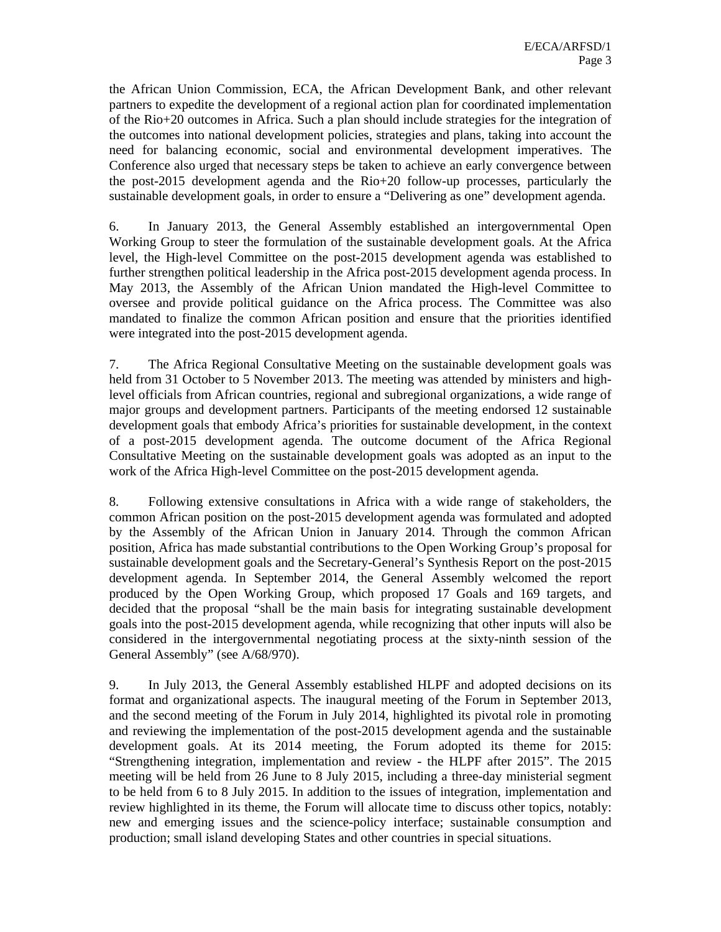the African Union Commission, ECA, the African Development Bank, and other relevant partners to expedite the development of a regional action plan for coordinated implementation of the Rio+20 outcomes in Africa. Such a plan should include strategies for the integration of the outcomes into national development policies, strategies and plans, taking into account the need for balancing economic, social and environmental development imperatives. The Conference also urged that necessary steps be taken to achieve an early convergence between the post-2015 development agenda and the Rio+20 follow-up processes, particularly the sustainable development goals, in order to ensure a "Delivering as one" development agenda.

6. In January 2013, the General Assembly established an intergovernmental Open Working Group to steer the formulation of the sustainable development goals. At the Africa level, the High-level Committee on the post-2015 development agenda was established to further strengthen political leadership in the Africa post-2015 development agenda process. In May 2013, the Assembly of the African Union mandated the High-level Committee to oversee and provide political guidance on the Africa process. The Committee was also mandated to finalize the common African position and ensure that the priorities identified were integrated into the post-2015 development agenda.

7. The Africa Regional Consultative Meeting on the sustainable development goals was held from 31 October to 5 November 2013. The meeting was attended by ministers and highlevel officials from African countries, regional and subregional organizations, a wide range of major groups and development partners. Participants of the meeting endorsed 12 sustainable development goals that embody Africa's priorities for sustainable development, in the context of a post-2015 development agenda. The outcome document of the Africa Regional Consultative Meeting on the sustainable development goals was adopted as an input to the work of the Africa High-level Committee on the post-2015 development agenda.

8. Following extensive consultations in Africa with a wide range of stakeholders, the common African position on the post-2015 development agenda was formulated and adopted by the Assembly of the African Union in January 2014. Through the common African position, Africa has made substantial contributions to the Open Working Group's proposal for sustainable development goals and the Secretary-General's Synthesis Report on the post-2015 development agenda. In September 2014, the General Assembly welcomed the report produced by the Open Working Group, which proposed 17 Goals and 169 targets, and decided that the proposal "shall be the main basis for integrating sustainable development goals into the post-2015 development agenda, while recognizing that other inputs will also be considered in the intergovernmental negotiating process at the sixty-ninth session of the General Assembly" (see A/68/970).

9. In July 2013, the General Assembly established HLPF and adopted decisions on its format and organizational aspects. The inaugural meeting of the Forum in September 2013, and the second meeting of the Forum in July 2014, highlighted its pivotal role in promoting and reviewing the implementation of the post-2015 development agenda and the sustainable development goals. At its 2014 meeting, the Forum adopted its theme for 2015: "Strengthening integration, implementation and review - the HLPF after 2015". The 2015 meeting will be held from 26 June to 8 July 2015, including a three-day ministerial segment to be held from 6 to 8 July 2015. In addition to the issues of integration, implementation and review highlighted in its theme, the Forum will allocate time to discuss other topics, notably: new and emerging issues and the science-policy interface; sustainable consumption and production; small island developing States and other countries in special situations.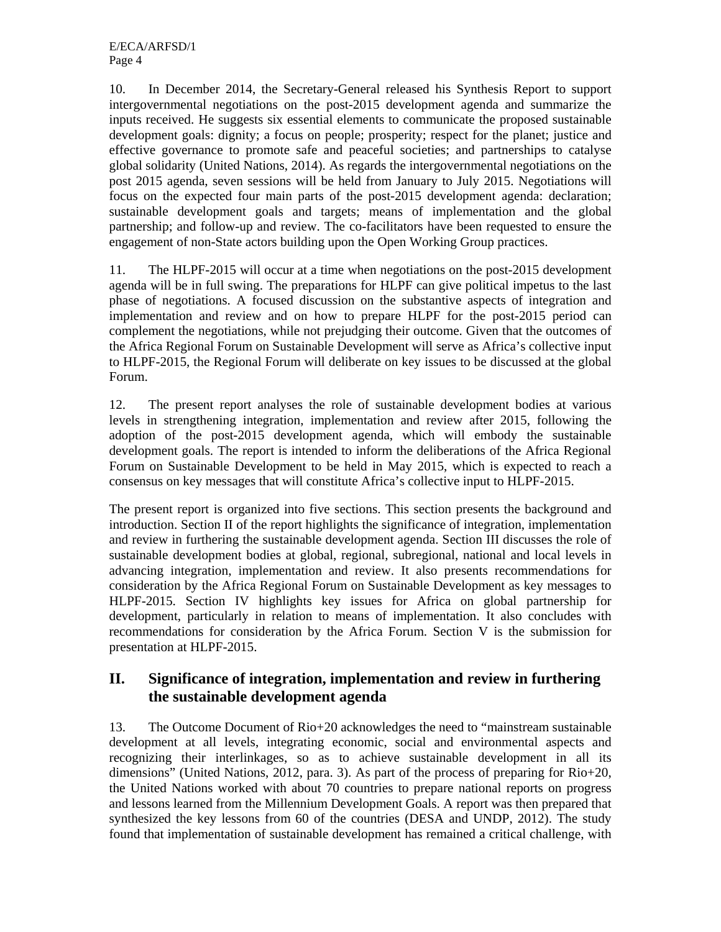10. In December 2014, the Secretary-General released his Synthesis Report to support intergovernmental negotiations on the post-2015 development agenda and summarize the inputs received. He suggests six essential elements to communicate the proposed sustainable development goals: dignity; a focus on people; prosperity; respect for the planet; justice and effective governance to promote safe and peaceful societies; and partnerships to catalyse global solidarity (United Nations, 2014). As regards the intergovernmental negotiations on the post 2015 agenda, seven sessions will be held from January to July 2015. Negotiations will focus on the expected four main parts of the post-2015 development agenda: declaration; sustainable development goals and targets; means of implementation and the global partnership; and follow-up and review. The co-facilitators have been requested to ensure the engagement of non-State actors building upon the Open Working Group practices.

11. The HLPF-2015 will occur at a time when negotiations on the post-2015 development agenda will be in full swing. The preparations for HLPF can give political impetus to the last phase of negotiations. A focused discussion on the substantive aspects of integration and implementation and review and on how to prepare HLPF for the post-2015 period can complement the negotiations, while not prejudging their outcome. Given that the outcomes of the Africa Regional Forum on Sustainable Development will serve as Africa's collective input to HLPF-2015, the Regional Forum will deliberate on key issues to be discussed at the global Forum.

12. The present report analyses the role of sustainable development bodies at various levels in strengthening integration, implementation and review after 2015, following the adoption of the post-2015 development agenda, which will embody the sustainable development goals. The report is intended to inform the deliberations of the Africa Regional Forum on Sustainable Development to be held in May 2015, which is expected to reach a consensus on key messages that will constitute Africa's collective input to HLPF-2015.

The present report is organized into five sections. This section presents the background and introduction. Section II of the report highlights the significance of integration, implementation and review in furthering the sustainable development agenda. Section III discusses the role of sustainable development bodies at global, regional, subregional, national and local levels in advancing integration, implementation and review. It also presents recommendations for consideration by the Africa Regional Forum on Sustainable Development as key messages to HLPF-2015. Section IV highlights key issues for Africa on global partnership for development, particularly in relation to means of implementation. It also concludes with recommendations for consideration by the Africa Forum. Section V is the submission for presentation at HLPF-2015.

# **II. Significance of integration, implementation and review in furthering the sustainable development agenda**

13. The Outcome Document of Rio+20 acknowledges the need to "mainstream sustainable development at all levels, integrating economic, social and environmental aspects and recognizing their interlinkages, so as to achieve sustainable development in all its dimensions" (United Nations, 2012, para. 3). As part of the process of preparing for Rio+20, the United Nations worked with about 70 countries to prepare national reports on progress and lessons learned from the Millennium Development Goals. A report was then prepared that synthesized the key lessons from 60 of the countries (DESA and UNDP, 2012). The study found that implementation of sustainable development has remained a critical challenge, with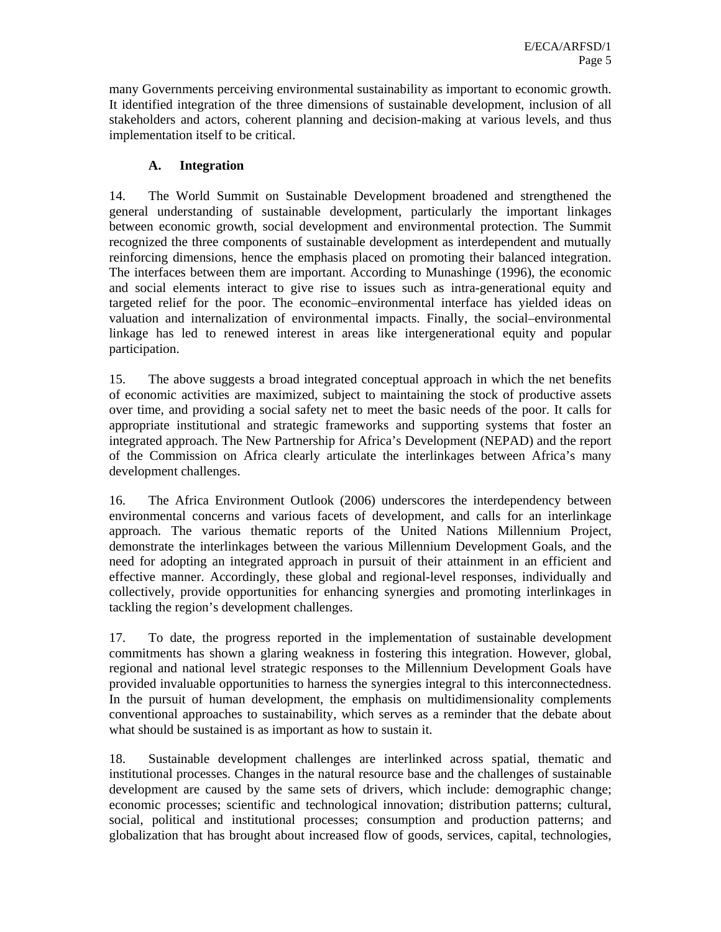many Governments perceiving environmental sustainability as important to economic growth. It identified integration of the three dimensions of sustainable development, inclusion of all stakeholders and actors, coherent planning and decision-making at various levels, and thus implementation itself to be critical.

### **A. Integration**

14. The World Summit on Sustainable Development broadened and strengthened the general understanding of sustainable development, particularly the important linkages between economic growth, social development and environmental protection. The Summit recognized the three components of sustainable development as interdependent and mutually reinforcing dimensions, hence the emphasis placed on promoting their balanced integration. The interfaces between them are important. According to Munashinge (1996), the economic and social elements interact to give rise to issues such as intra-generational equity and targeted relief for the poor. The economic–environmental interface has yielded ideas on valuation and internalization of environmental impacts. Finally, the social–environmental linkage has led to renewed interest in areas like intergenerational equity and popular participation.

15. The above suggests a broad integrated conceptual approach in which the net benefits of economic activities are maximized, subject to maintaining the stock of productive assets over time, and providing a social safety net to meet the basic needs of the poor. It calls for appropriate institutional and strategic frameworks and supporting systems that foster an integrated approach. The New Partnership for Africa's Development (NEPAD) and the report of the Commission on Africa clearly articulate the interlinkages between Africa's many development challenges.

16. The Africa Environment Outlook (2006) underscores the interdependency between environmental concerns and various facets of development, and calls for an interlinkage approach. The various thematic reports of the United Nations Millennium Project, demonstrate the interlinkages between the various Millennium Development Goals, and the need for adopting an integrated approach in pursuit of their attainment in an efficient and effective manner. Accordingly, these global and regional-level responses, individually and collectively, provide opportunities for enhancing synergies and promoting interlinkages in tackling the region's development challenges.

17. To date, the progress reported in the implementation of sustainable development commitments has shown a glaring weakness in fostering this integration. However, global, regional and national level strategic responses to the Millennium Development Goals have provided invaluable opportunities to harness the synergies integral to this interconnectedness. In the pursuit of human development, the emphasis on multidimensionality complements conventional approaches to sustainability, which serves as a reminder that the debate about what should be sustained is as important as how to sustain it.

18. Sustainable development challenges are interlinked across spatial, thematic and institutional processes. Changes in the natural resource base and the challenges of sustainable development are caused by the same sets of drivers, which include: demographic change; economic processes; scientific and technological innovation; distribution patterns; cultural, social, political and institutional processes; consumption and production patterns; and globalization that has brought about increased flow of goods, services, capital, technologies,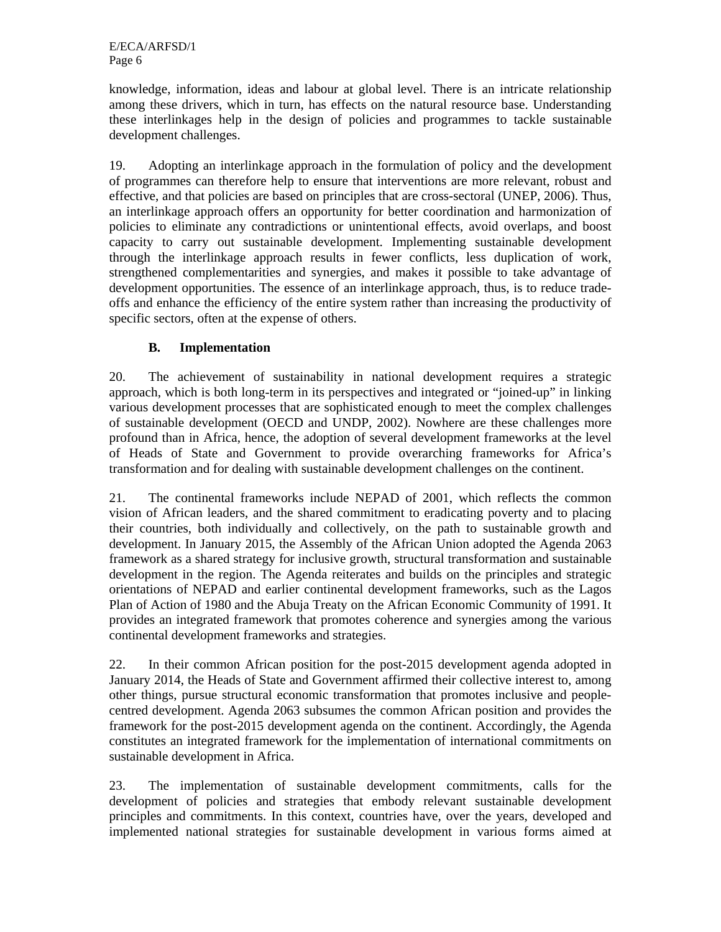knowledge, information, ideas and labour at global level. There is an intricate relationship among these drivers, which in turn, has effects on the natural resource base. Understanding these interlinkages help in the design of policies and programmes to tackle sustainable development challenges.

19. Adopting an interlinkage approach in the formulation of policy and the development of programmes can therefore help to ensure that interventions are more relevant, robust and effective, and that policies are based on principles that are cross-sectoral (UNEP, 2006). Thus, an interlinkage approach offers an opportunity for better coordination and harmonization of policies to eliminate any contradictions or unintentional effects, avoid overlaps, and boost capacity to carry out sustainable development. Implementing sustainable development through the interlinkage approach results in fewer conflicts, less duplication of work, strengthened complementarities and synergies, and makes it possible to take advantage of development opportunities. The essence of an interlinkage approach, thus, is to reduce tradeoffs and enhance the efficiency of the entire system rather than increasing the productivity of specific sectors, often at the expense of others.

## **B. Implementation**

20. The achievement of sustainability in national development requires a strategic approach, which is both long-term in its perspectives and integrated or "joined-up" in linking various development processes that are sophisticated enough to meet the complex challenges of sustainable development (OECD and UNDP, 2002). Nowhere are these challenges more profound than in Africa, hence, the adoption of several development frameworks at the level of Heads of State and Government to provide overarching frameworks for Africa's transformation and for dealing with sustainable development challenges on the continent.

21. The continental frameworks include NEPAD of 2001, which reflects the common vision of African leaders, and the shared commitment to eradicating poverty and to placing their countries, both individually and collectively, on the path to sustainable growth and development. In January 2015, the Assembly of the African Union adopted the Agenda 2063 framework as a shared strategy for inclusive growth, structural transformation and sustainable development in the region. The Agenda reiterates and builds on the principles and strategic orientations of NEPAD and earlier continental development frameworks, such as the Lagos Plan of Action of 1980 and the Abuja Treaty on the African Economic Community of 1991. It provides an integrated framework that promotes coherence and synergies among the various continental development frameworks and strategies.

22. In their common African position for the post-2015 development agenda adopted in January 2014, the Heads of State and Government affirmed their collective interest to, among other things, pursue structural economic transformation that promotes inclusive and peoplecentred development. Agenda 2063 subsumes the common African position and provides the framework for the post-2015 development agenda on the continent. Accordingly, the Agenda constitutes an integrated framework for the implementation of international commitments on sustainable development in Africa.

23. The implementation of sustainable development commitments, calls for the development of policies and strategies that embody relevant sustainable development principles and commitments. In this context, countries have, over the years, developed and implemented national strategies for sustainable development in various forms aimed at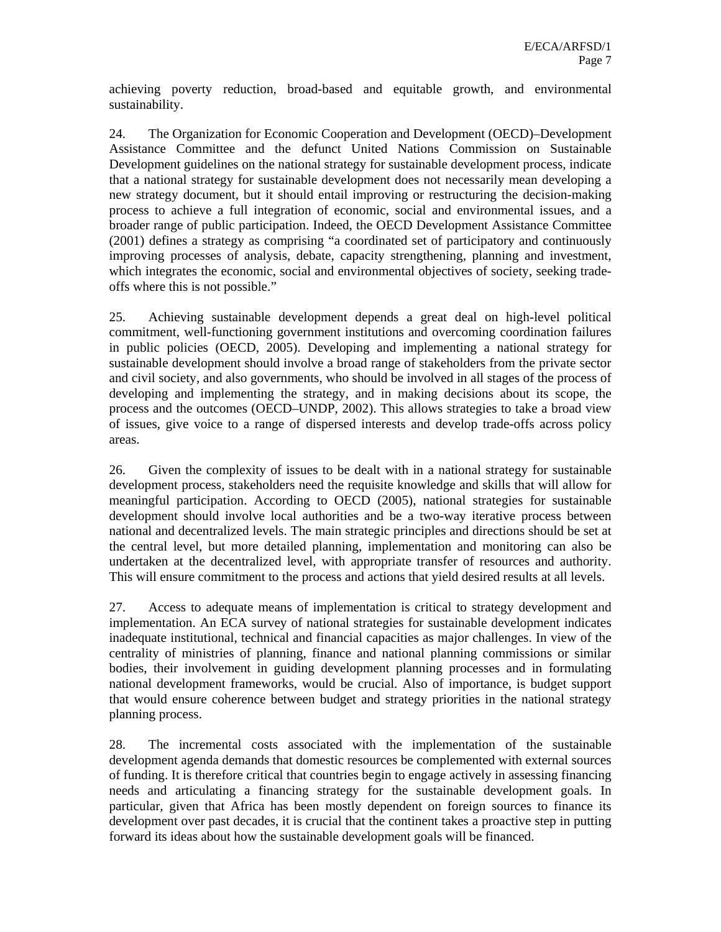achieving poverty reduction, broad-based and equitable growth, and environmental sustainability.

24. The Organization for Economic Cooperation and Development (OECD)–Development Assistance Committee and the defunct United Nations Commission on Sustainable Development guidelines on the national strategy for sustainable development process, indicate that a national strategy for sustainable development does not necessarily mean developing a new strategy document, but it should entail improving or restructuring the decision-making process to achieve a full integration of economic, social and environmental issues, and a broader range of public participation. Indeed, the OECD Development Assistance Committee (2001) defines a strategy as comprising "a coordinated set of participatory and continuously improving processes of analysis, debate, capacity strengthening, planning and investment, which integrates the economic, social and environmental objectives of society, seeking tradeoffs where this is not possible."

25. Achieving sustainable development depends a great deal on high-level political commitment, well-functioning government institutions and overcoming coordination failures in public policies (OECD, 2005). Developing and implementing a national strategy for sustainable development should involve a broad range of stakeholders from the private sector and civil society, and also governments, who should be involved in all stages of the process of developing and implementing the strategy, and in making decisions about its scope, the process and the outcomes (OECD–UNDP, 2002). This allows strategies to take a broad view of issues, give voice to a range of dispersed interests and develop trade-offs across policy areas.

26. Given the complexity of issues to be dealt with in a national strategy for sustainable development process, stakeholders need the requisite knowledge and skills that will allow for meaningful participation. According to OECD (2005), national strategies for sustainable development should involve local authorities and be a two-way iterative process between national and decentralized levels. The main strategic principles and directions should be set at the central level, but more detailed planning, implementation and monitoring can also be undertaken at the decentralized level, with appropriate transfer of resources and authority. This will ensure commitment to the process and actions that yield desired results at all levels.

27. Access to adequate means of implementation is critical to strategy development and implementation. An ECA survey of national strategies for sustainable development indicates inadequate institutional, technical and financial capacities as major challenges. In view of the centrality of ministries of planning, finance and national planning commissions or similar bodies, their involvement in guiding development planning processes and in formulating national development frameworks, would be crucial. Also of importance, is budget support that would ensure coherence between budget and strategy priorities in the national strategy planning process.

28. The incremental costs associated with the implementation of the sustainable development agenda demands that domestic resources be complemented with external sources of funding. It is therefore critical that countries begin to engage actively in assessing financing needs and articulating a financing strategy for the sustainable development goals. In particular, given that Africa has been mostly dependent on foreign sources to finance its development over past decades, it is crucial that the continent takes a proactive step in putting forward its ideas about how the sustainable development goals will be financed.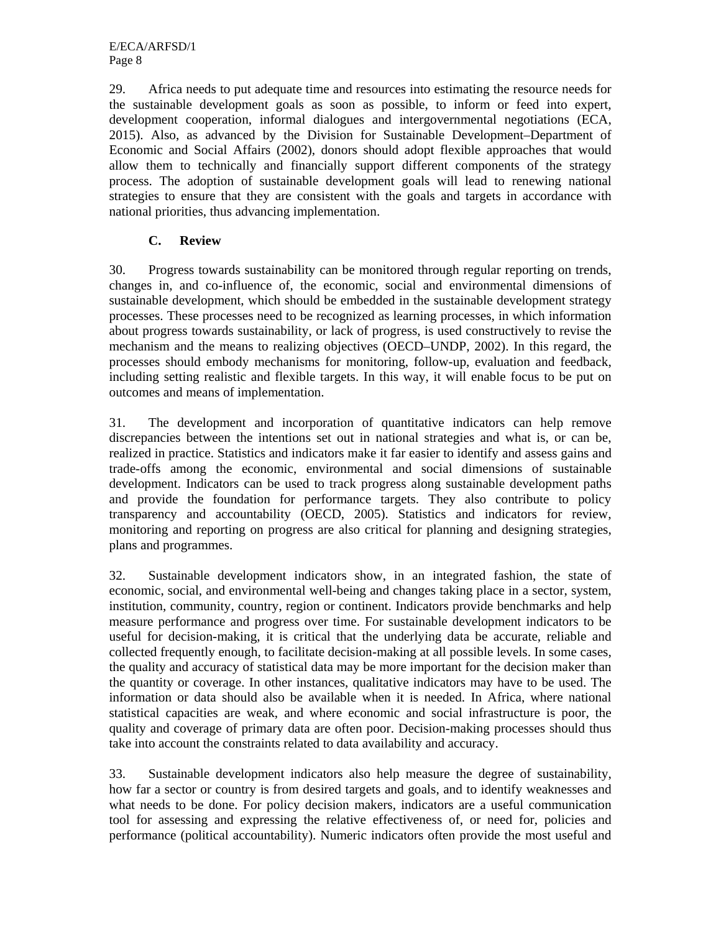29. Africa needs to put adequate time and resources into estimating the resource needs for the sustainable development goals as soon as possible, to inform or feed into expert, development cooperation, informal dialogues and intergovernmental negotiations (ECA, 2015). Also, as advanced by the Division for Sustainable Development–Department of Economic and Social Affairs (2002), donors should adopt flexible approaches that would allow them to technically and financially support different components of the strategy process. The adoption of sustainable development goals will lead to renewing national strategies to ensure that they are consistent with the goals and targets in accordance with national priorities, thus advancing implementation.

### **C. Review**

30. Progress towards sustainability can be monitored through regular reporting on trends, changes in, and co-influence of, the economic, social and environmental dimensions of sustainable development, which should be embedded in the sustainable development strategy processes. These processes need to be recognized as learning processes, in which information about progress towards sustainability, or lack of progress, is used constructively to revise the mechanism and the means to realizing objectives (OECD–UNDP, 2002). In this regard, the processes should embody mechanisms for monitoring, follow-up, evaluation and feedback, including setting realistic and flexible targets. In this way, it will enable focus to be put on outcomes and means of implementation.

31. The development and incorporation of quantitative indicators can help remove discrepancies between the intentions set out in national strategies and what is, or can be, realized in practice. Statistics and indicators make it far easier to identify and assess gains and trade-offs among the economic, environmental and social dimensions of sustainable development. Indicators can be used to track progress along sustainable development paths and provide the foundation for performance targets. They also contribute to policy transparency and accountability (OECD, 2005). Statistics and indicators for review, monitoring and reporting on progress are also critical for planning and designing strategies, plans and programmes.

32. Sustainable development indicators show, in an integrated fashion, the state of economic, social, and environmental well-being and changes taking place in a sector, system, institution, community, country, region or continent. Indicators provide benchmarks and help measure performance and progress over time. For sustainable development indicators to be useful for decision-making, it is critical that the underlying data be accurate, reliable and collected frequently enough, to facilitate decision-making at all possible levels. In some cases, the quality and accuracy of statistical data may be more important for the decision maker than the quantity or coverage. In other instances, qualitative indicators may have to be used. The information or data should also be available when it is needed. In Africa, where national statistical capacities are weak, and where economic and social infrastructure is poor, the quality and coverage of primary data are often poor. Decision-making processes should thus take into account the constraints related to data availability and accuracy.

33. Sustainable development indicators also help measure the degree of sustainability, how far a sector or country is from desired targets and goals, and to identify weaknesses and what needs to be done. For policy decision makers, indicators are a useful communication tool for assessing and expressing the relative effectiveness of, or need for, policies and performance (political accountability). Numeric indicators often provide the most useful and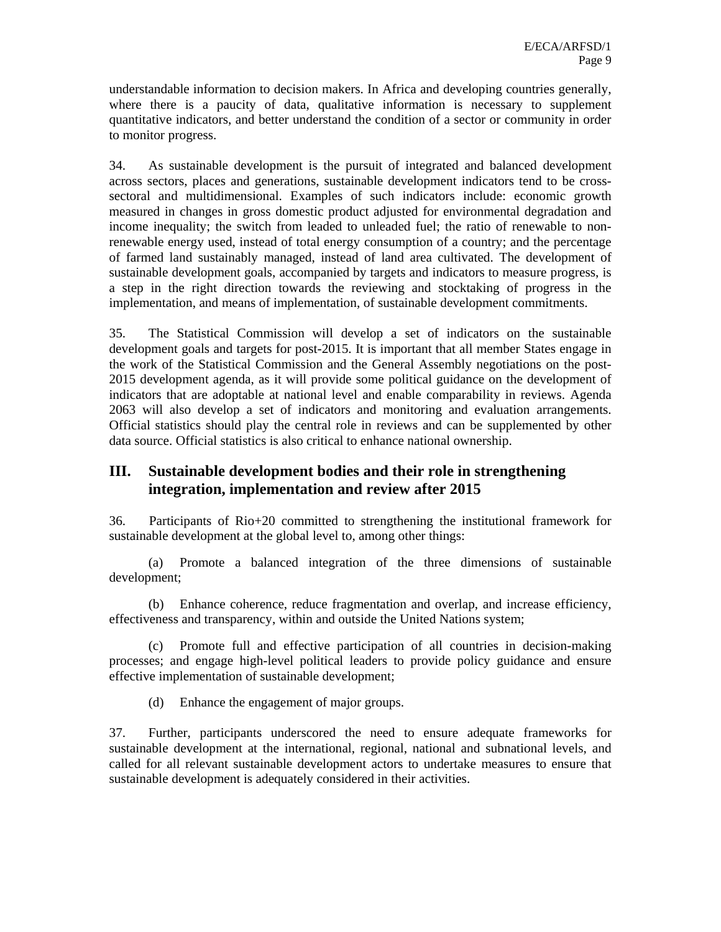understandable information to decision makers. In Africa and developing countries generally, where there is a paucity of data, qualitative information is necessary to supplement quantitative indicators, and better understand the condition of a sector or community in order to monitor progress.

34. As sustainable development is the pursuit of integrated and balanced development across sectors, places and generations, sustainable development indicators tend to be crosssectoral and multidimensional. Examples of such indicators include: economic growth measured in changes in gross domestic product adjusted for environmental degradation and income inequality; the switch from leaded to unleaded fuel; the ratio of renewable to nonrenewable energy used, instead of total energy consumption of a country; and the percentage of farmed land sustainably managed, instead of land area cultivated. The development of sustainable development goals, accompanied by targets and indicators to measure progress, is a step in the right direction towards the reviewing and stocktaking of progress in the implementation, and means of implementation, of sustainable development commitments.

35. The Statistical Commission will develop a set of indicators on the sustainable development goals and targets for post-2015. It is important that all member States engage in the work of the Statistical Commission and the General Assembly negotiations on the post-2015 development agenda, as it will provide some political guidance on the development of indicators that are adoptable at national level and enable comparability in reviews. Agenda 2063 will also develop a set of indicators and monitoring and evaluation arrangements. Official statistics should play the central role in reviews and can be supplemented by other data source. Official statistics is also critical to enhance national ownership.

# **III. Sustainable development bodies and their role in strengthening integration, implementation and review after 2015**

36. Participants of Rio+20 committed to strengthening the institutional framework for sustainable development at the global level to, among other things:

(a) Promote a balanced integration of the three dimensions of sustainable development;

(b) Enhance coherence, reduce fragmentation and overlap, and increase efficiency, effectiveness and transparency, within and outside the United Nations system;

(c) Promote full and effective participation of all countries in decision-making processes; and engage high-level political leaders to provide policy guidance and ensure effective implementation of sustainable development;

(d) Enhance the engagement of major groups.

37. Further, participants underscored the need to ensure adequate frameworks for sustainable development at the international, regional, national and subnational levels, and called for all relevant sustainable development actors to undertake measures to ensure that sustainable development is adequately considered in their activities.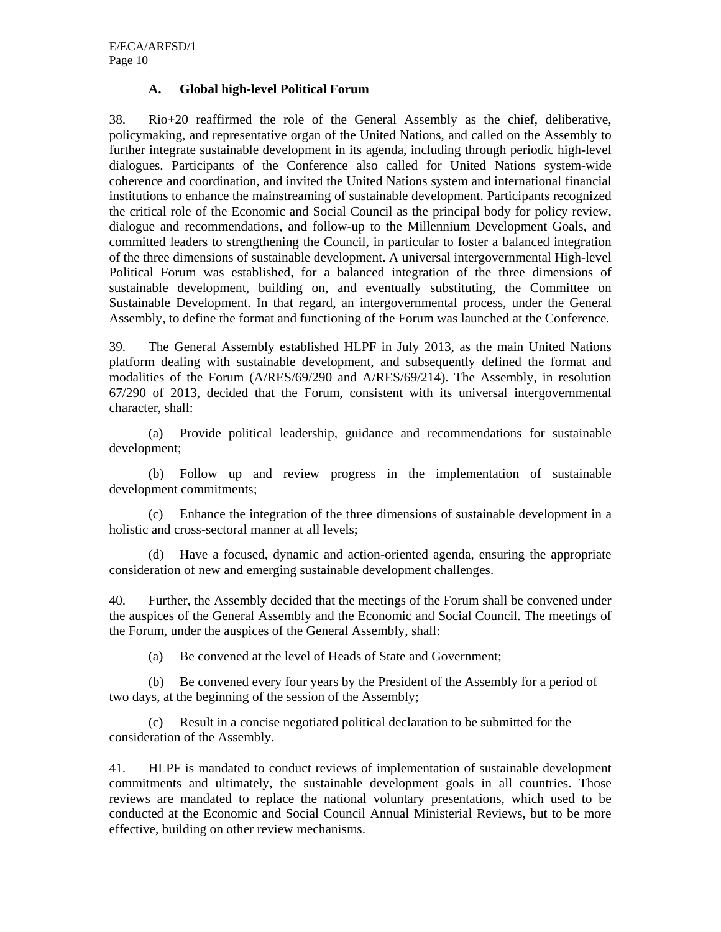#### **A. Global high-level Political Forum**

38. Rio+20 reaffirmed the role of the General Assembly as the chief, deliberative, policymaking, and representative organ of the United Nations, and called on the Assembly to further integrate sustainable development in its agenda, including through periodic high-level dialogues. Participants of the Conference also called for United Nations system-wide coherence and coordination, and invited the United Nations system and international financial institutions to enhance the mainstreaming of sustainable development. Participants recognized the critical role of the Economic and Social Council as the principal body for policy review, dialogue and recommendations, and follow-up to the Millennium Development Goals, and committed leaders to strengthening the Council, in particular to foster a balanced integration of the three dimensions of sustainable development. A universal intergovernmental High-level Political Forum was established, for a balanced integration of the three dimensions of sustainable development, building on, and eventually substituting, the Committee on Sustainable Development. In that regard, an intergovernmental process, under the General Assembly, to define the format and functioning of the Forum was launched at the Conference.

39. The General Assembly established HLPF in July 2013, as the main United Nations platform dealing with sustainable development, and subsequently defined the format and modalities of the Forum (A/RES/69/290 and A/RES/69/214). The Assembly, in resolution 67/290 of 2013, decided that the Forum, consistent with its universal intergovernmental character, shall:

(a) Provide political leadership, guidance and recommendations for sustainable development;

(b) Follow up and review progress in the implementation of sustainable development commitments;

(c) Enhance the integration of the three dimensions of sustainable development in a holistic and cross-sectoral manner at all levels;

(d) Have a focused, dynamic and action-oriented agenda, ensuring the appropriate consideration of new and emerging sustainable development challenges.

40. Further, the Assembly decided that the meetings of the Forum shall be convened under the auspices of the General Assembly and the Economic and Social Council. The meetings of the Forum, under the auspices of the General Assembly, shall:

(a) Be convened at the level of Heads of State and Government;

(b) Be convened every four years by the President of the Assembly for a period of two days, at the beginning of the session of the Assembly;

(c) Result in a concise negotiated political declaration to be submitted for the consideration of the Assembly.

41. HLPF is mandated to conduct reviews of implementation of sustainable development commitments and ultimately, the sustainable development goals in all countries. Those reviews are mandated to replace the national voluntary presentations, which used to be conducted at the Economic and Social Council Annual Ministerial Reviews, but to be more effective, building on other review mechanisms.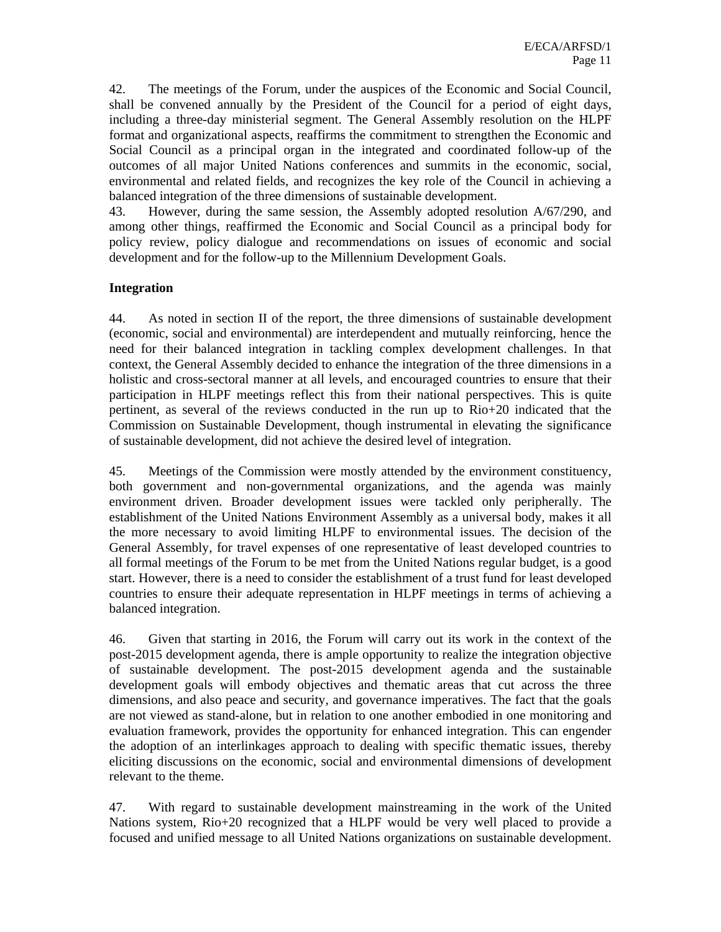42. The meetings of the Forum, under the auspices of the Economic and Social Council, shall be convened annually by the President of the Council for a period of eight days, including a three-day ministerial segment. The General Assembly resolution on the HLPF format and organizational aspects, reaffirms the commitment to strengthen the Economic and Social Council as a principal organ in the integrated and coordinated follow-up of the outcomes of all major United Nations conferences and summits in the economic, social, environmental and related fields, and recognizes the key role of the Council in achieving a balanced integration of the three dimensions of sustainable development.

43. However, during the same session, the Assembly adopted resolution A/67/290, and among other things, reaffirmed the Economic and Social Council as a principal body for policy review, policy dialogue and recommendations on issues of economic and social development and for the follow-up to the Millennium Development Goals.

### **Integration**

44. As noted in section II of the report, the three dimensions of sustainable development (economic, social and environmental) are interdependent and mutually reinforcing, hence the need for their balanced integration in tackling complex development challenges. In that context, the General Assembly decided to enhance the integration of the three dimensions in a holistic and cross-sectoral manner at all levels, and encouraged countries to ensure that their participation in HLPF meetings reflect this from their national perspectives. This is quite pertinent, as several of the reviews conducted in the run up to Rio+20 indicated that the Commission on Sustainable Development, though instrumental in elevating the significance of sustainable development, did not achieve the desired level of integration.

45. Meetings of the Commission were mostly attended by the environment constituency, both government and non-governmental organizations, and the agenda was mainly environment driven. Broader development issues were tackled only peripherally. The establishment of the United Nations Environment Assembly as a universal body, makes it all the more necessary to avoid limiting HLPF to environmental issues. The decision of the General Assembly, for travel expenses of one representative of least developed countries to all formal meetings of the Forum to be met from the United Nations regular budget, is a good start. However, there is a need to consider the establishment of a trust fund for least developed countries to ensure their adequate representation in HLPF meetings in terms of achieving a balanced integration.

46. Given that starting in 2016, the Forum will carry out its work in the context of the post-2015 development agenda, there is ample opportunity to realize the integration objective of sustainable development. The post-2015 development agenda and the sustainable development goals will embody objectives and thematic areas that cut across the three dimensions, and also peace and security, and governance imperatives. The fact that the goals are not viewed as stand-alone, but in relation to one another embodied in one monitoring and evaluation framework, provides the opportunity for enhanced integration. This can engender the adoption of an interlinkages approach to dealing with specific thematic issues, thereby eliciting discussions on the economic, social and environmental dimensions of development relevant to the theme.

47. With regard to sustainable development mainstreaming in the work of the United Nations system, Rio+20 recognized that a HLPF would be very well placed to provide a focused and unified message to all United Nations organizations on sustainable development.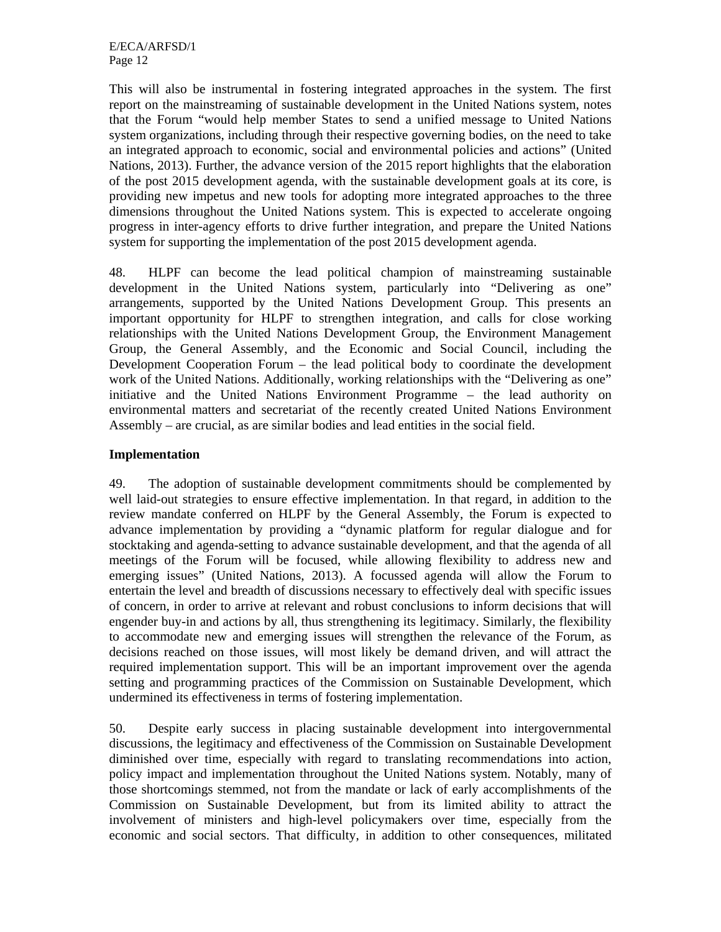E/ECA/ARFSD/1 Page 12

This will also be instrumental in fostering integrated approaches in the system. The first report on the mainstreaming of sustainable development in the United Nations system, notes that the Forum "would help member States to send a unified message to United Nations system organizations, including through their respective governing bodies, on the need to take an integrated approach to economic, social and environmental policies and actions" (United Nations, 2013). Further, the advance version of the 2015 report highlights that the elaboration of the post 2015 development agenda, with the sustainable development goals at its core, is providing new impetus and new tools for adopting more integrated approaches to the three dimensions throughout the United Nations system. This is expected to accelerate ongoing progress in inter-agency efforts to drive further integration, and prepare the United Nations system for supporting the implementation of the post 2015 development agenda.

48. HLPF can become the lead political champion of mainstreaming sustainable development in the United Nations system, particularly into "Delivering as one" arrangements, supported by the United Nations Development Group. This presents an important opportunity for HLPF to strengthen integration, and calls for close working relationships with the United Nations Development Group, the Environment Management Group, the General Assembly, and the Economic and Social Council, including the Development Cooperation Forum – the lead political body to coordinate the development work of the United Nations. Additionally, working relationships with the "Delivering as one" initiative and the United Nations Environment Programme – the lead authority on environmental matters and secretariat of the recently created United Nations Environment Assembly – are crucial, as are similar bodies and lead entities in the social field.

#### **Implementation**

49. The adoption of sustainable development commitments should be complemented by well laid-out strategies to ensure effective implementation. In that regard, in addition to the review mandate conferred on HLPF by the General Assembly, the Forum is expected to advance implementation by providing a "dynamic platform for regular dialogue and for stocktaking and agenda-setting to advance sustainable development, and that the agenda of all meetings of the Forum will be focused, while allowing flexibility to address new and emerging issues" (United Nations, 2013). A focussed agenda will allow the Forum to entertain the level and breadth of discussions necessary to effectively deal with specific issues of concern, in order to arrive at relevant and robust conclusions to inform decisions that will engender buy-in and actions by all, thus strengthening its legitimacy. Similarly, the flexibility to accommodate new and emerging issues will strengthen the relevance of the Forum, as decisions reached on those issues, will most likely be demand driven, and will attract the required implementation support. This will be an important improvement over the agenda setting and programming practices of the Commission on Sustainable Development, which undermined its effectiveness in terms of fostering implementation.

50. Despite early success in placing sustainable development into intergovernmental discussions, the legitimacy and effectiveness of the Commission on Sustainable Development diminished over time, especially with regard to translating recommendations into action, policy impact and implementation throughout the United Nations system. Notably, many of those shortcomings stemmed, not from the mandate or lack of early accomplishments of the Commission on Sustainable Development, but from its limited ability to attract the involvement of ministers and high-level policymakers over time, especially from the economic and social sectors. That difficulty, in addition to other consequences, militated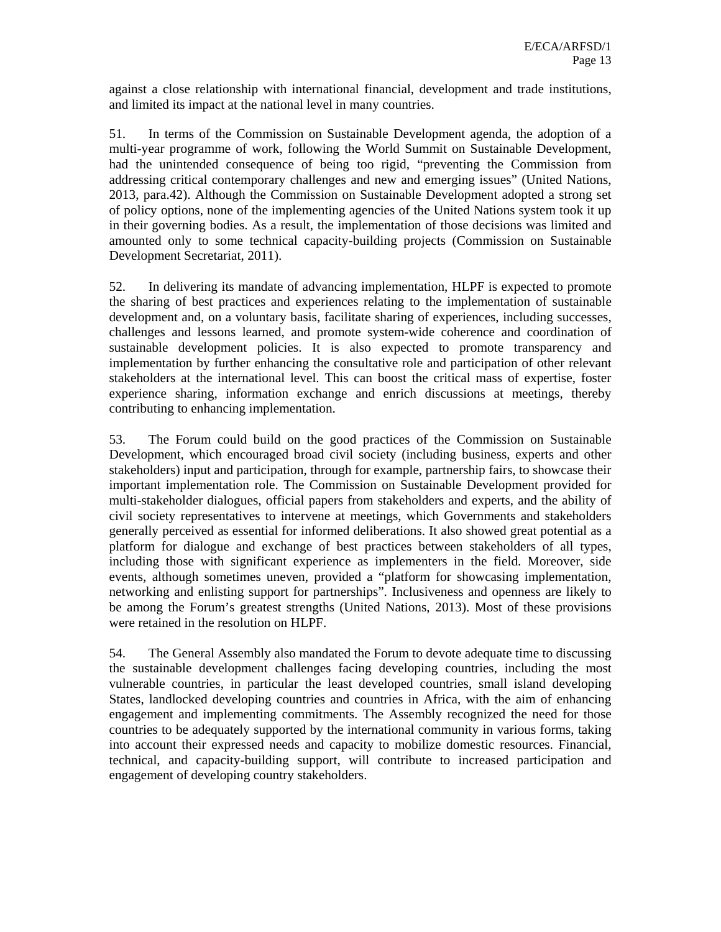against a close relationship with international financial, development and trade institutions, and limited its impact at the national level in many countries.

51. In terms of the Commission on Sustainable Development agenda, the adoption of a multi-year programme of work, following the World Summit on Sustainable Development, had the unintended consequence of being too rigid, "preventing the Commission from addressing critical contemporary challenges and new and emerging issues" (United Nations, 2013, para.42). Although the Commission on Sustainable Development adopted a strong set of policy options, none of the implementing agencies of the United Nations system took it up in their governing bodies. As a result, the implementation of those decisions was limited and amounted only to some technical capacity-building projects (Commission on Sustainable Development Secretariat, 2011).

52. In delivering its mandate of advancing implementation, HLPF is expected to promote the sharing of best practices and experiences relating to the implementation of sustainable development and, on a voluntary basis, facilitate sharing of experiences, including successes, challenges and lessons learned, and promote system-wide coherence and coordination of sustainable development policies. It is also expected to promote transparency and implementation by further enhancing the consultative role and participation of other relevant stakeholders at the international level. This can boost the critical mass of expertise, foster experience sharing, information exchange and enrich discussions at meetings, thereby contributing to enhancing implementation.

53. The Forum could build on the good practices of the Commission on Sustainable Development, which encouraged broad civil society (including business, experts and other stakeholders) input and participation, through for example, partnership fairs, to showcase their important implementation role. The Commission on Sustainable Development provided for multi-stakeholder dialogues, official papers from stakeholders and experts, and the ability of civil society representatives to intervene at meetings, which Governments and stakeholders generally perceived as essential for informed deliberations. It also showed great potential as a platform for dialogue and exchange of best practices between stakeholders of all types, including those with significant experience as implementers in the field. Moreover, side events, although sometimes uneven, provided a "platform for showcasing implementation, networking and enlisting support for partnerships". Inclusiveness and openness are likely to be among the Forum's greatest strengths (United Nations, 2013). Most of these provisions were retained in the resolution on HLPF.

54. The General Assembly also mandated the Forum to devote adequate time to discussing the sustainable development challenges facing developing countries, including the most vulnerable countries, in particular the least developed countries, small island developing States, landlocked developing countries and countries in Africa, with the aim of enhancing engagement and implementing commitments. The Assembly recognized the need for those countries to be adequately supported by the international community in various forms, taking into account their expressed needs and capacity to mobilize domestic resources. Financial, technical, and capacity-building support, will contribute to increased participation and engagement of developing country stakeholders.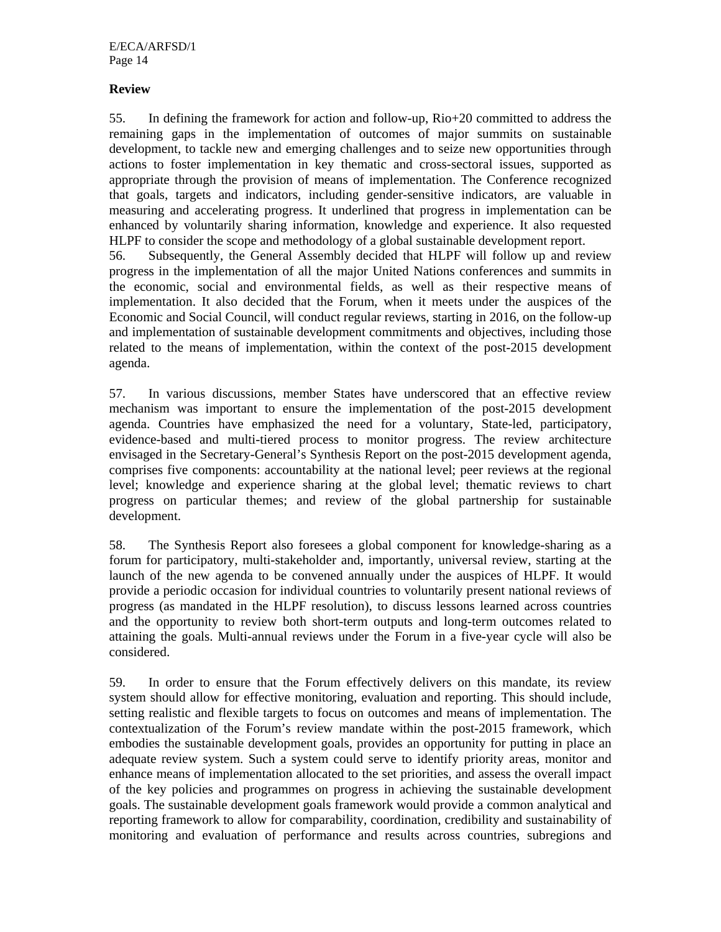E/ECA/ARFSD/1 Page 14

#### **Review**

55. In defining the framework for action and follow-up, Rio+20 committed to address the remaining gaps in the implementation of outcomes of major summits on sustainable development, to tackle new and emerging challenges and to seize new opportunities through actions to foster implementation in key thematic and cross-sectoral issues, supported as appropriate through the provision of means of implementation. The Conference recognized that goals, targets and indicators, including gender-sensitive indicators, are valuable in measuring and accelerating progress. It underlined that progress in implementation can be enhanced by voluntarily sharing information, knowledge and experience. It also requested HLPF to consider the scope and methodology of a global sustainable development report.

56. Subsequently, the General Assembly decided that HLPF will follow up and review progress in the implementation of all the major United Nations conferences and summits in the economic, social and environmental fields, as well as their respective means of implementation. It also decided that the Forum, when it meets under the auspices of the Economic and Social Council, will conduct regular reviews, starting in 2016, on the follow-up and implementation of sustainable development commitments and objectives, including those related to the means of implementation, within the context of the post-2015 development agenda.

57. In various discussions, member States have underscored that an effective review mechanism was important to ensure the implementation of the post-2015 development agenda. Countries have emphasized the need for a voluntary, State-led, participatory, evidence-based and multi-tiered process to monitor progress. The review architecture envisaged in the Secretary-General's Synthesis Report on the post-2015 development agenda, comprises five components: accountability at the national level; peer reviews at the regional level; knowledge and experience sharing at the global level; thematic reviews to chart progress on particular themes; and review of the global partnership for sustainable development.

58. The Synthesis Report also foresees a global component for knowledge-sharing as a forum for participatory, multi-stakeholder and, importantly, universal review, starting at the launch of the new agenda to be convened annually under the auspices of HLPF. It would provide a periodic occasion for individual countries to voluntarily present national reviews of progress (as mandated in the HLPF resolution), to discuss lessons learned across countries and the opportunity to review both short-term outputs and long-term outcomes related to attaining the goals. Multi-annual reviews under the Forum in a five-year cycle will also be considered.

59. In order to ensure that the Forum effectively delivers on this mandate, its review system should allow for effective monitoring, evaluation and reporting. This should include, setting realistic and flexible targets to focus on outcomes and means of implementation. The contextualization of the Forum's review mandate within the post-2015 framework, which embodies the sustainable development goals, provides an opportunity for putting in place an adequate review system. Such a system could serve to identify priority areas, monitor and enhance means of implementation allocated to the set priorities, and assess the overall impact of the key policies and programmes on progress in achieving the sustainable development goals. The sustainable development goals framework would provide a common analytical and reporting framework to allow for comparability, coordination, credibility and sustainability of monitoring and evaluation of performance and results across countries, subregions and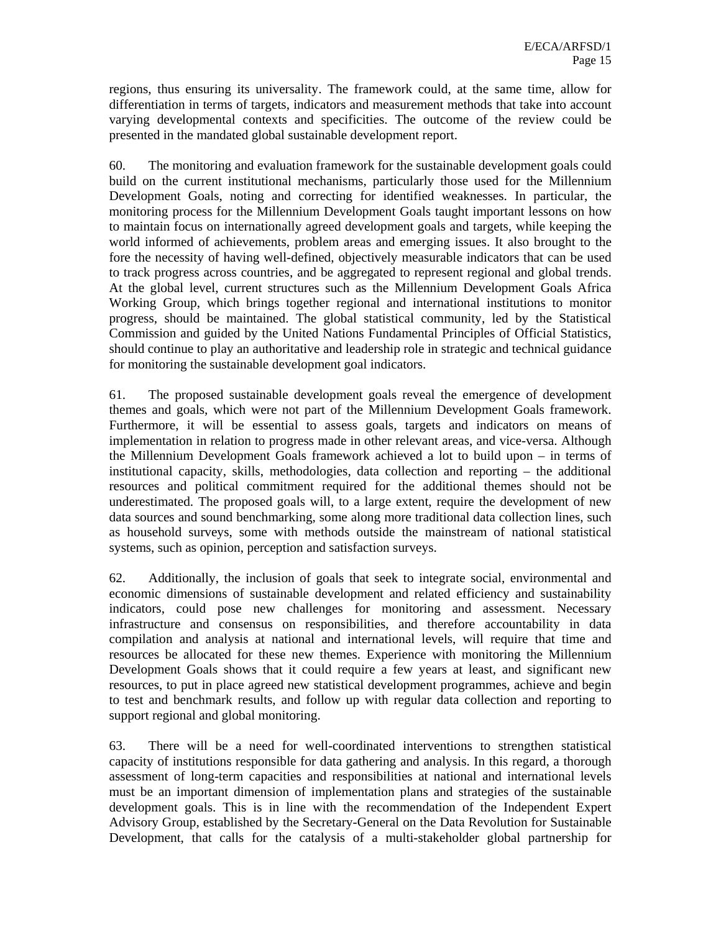regions, thus ensuring its universality. The framework could, at the same time, allow for differentiation in terms of targets, indicators and measurement methods that take into account varying developmental contexts and specificities. The outcome of the review could be presented in the mandated global sustainable development report.

60. The monitoring and evaluation framework for the sustainable development goals could build on the current institutional mechanisms, particularly those used for the Millennium Development Goals, noting and correcting for identified weaknesses. In particular, the monitoring process for the Millennium Development Goals taught important lessons on how to maintain focus on internationally agreed development goals and targets, while keeping the world informed of achievements, problem areas and emerging issues. It also brought to the fore the necessity of having well-defined, objectively measurable indicators that can be used to track progress across countries, and be aggregated to represent regional and global trends. At the global level, current structures such as the Millennium Development Goals Africa Working Group, which brings together regional and international institutions to monitor progress, should be maintained. The global statistical community, led by the Statistical Commission and guided by the United Nations Fundamental Principles of Official Statistics, should continue to play an authoritative and leadership role in strategic and technical guidance for monitoring the sustainable development goal indicators.

61. The proposed sustainable development goals reveal the emergence of development themes and goals, which were not part of the Millennium Development Goals framework. Furthermore, it will be essential to assess goals, targets and indicators on means of implementation in relation to progress made in other relevant areas, and vice-versa. Although the Millennium Development Goals framework achieved a lot to build upon – in terms of institutional capacity, skills, methodologies, data collection and reporting – the additional resources and political commitment required for the additional themes should not be underestimated. The proposed goals will, to a large extent, require the development of new data sources and sound benchmarking, some along more traditional data collection lines, such as household surveys, some with methods outside the mainstream of national statistical systems, such as opinion, perception and satisfaction surveys.

62. Additionally, the inclusion of goals that seek to integrate social, environmental and economic dimensions of sustainable development and related efficiency and sustainability indicators, could pose new challenges for monitoring and assessment. Necessary infrastructure and consensus on responsibilities, and therefore accountability in data compilation and analysis at national and international levels, will require that time and resources be allocated for these new themes. Experience with monitoring the Millennium Development Goals shows that it could require a few years at least, and significant new resources, to put in place agreed new statistical development programmes, achieve and begin to test and benchmark results, and follow up with regular data collection and reporting to support regional and global monitoring.

63. There will be a need for well-coordinated interventions to strengthen statistical capacity of institutions responsible for data gathering and analysis. In this regard, a thorough assessment of long-term capacities and responsibilities at national and international levels must be an important dimension of implementation plans and strategies of the sustainable development goals. This is in line with the recommendation of the Independent Expert Advisory Group, established by the Secretary-General on the Data Revolution for Sustainable Development, that calls for the catalysis of a multi-stakeholder global partnership for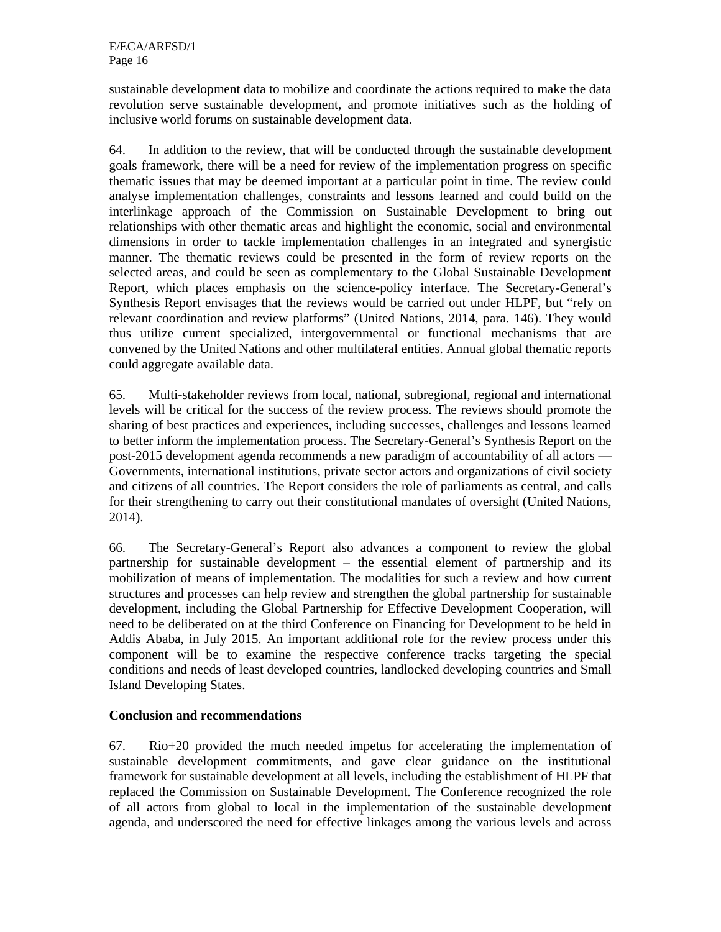sustainable development data to mobilize and coordinate the actions required to make the data revolution serve sustainable development, and promote initiatives such as the holding of inclusive world forums on sustainable development data.

64. In addition to the review, that will be conducted through the sustainable development goals framework, there will be a need for review of the implementation progress on specific thematic issues that may be deemed important at a particular point in time. The review could analyse implementation challenges, constraints and lessons learned and could build on the interlinkage approach of the Commission on Sustainable Development to bring out relationships with other thematic areas and highlight the economic, social and environmental dimensions in order to tackle implementation challenges in an integrated and synergistic manner. The thematic reviews could be presented in the form of review reports on the selected areas, and could be seen as complementary to the Global Sustainable Development Report, which places emphasis on the science-policy interface. The Secretary-General's Synthesis Report envisages that the reviews would be carried out under HLPF, but "rely on relevant coordination and review platforms" (United Nations, 2014, para. 146). They would thus utilize current specialized, intergovernmental or functional mechanisms that are convened by the United Nations and other multilateral entities. Annual global thematic reports could aggregate available data.

65. Multi-stakeholder reviews from local, national, subregional, regional and international levels will be critical for the success of the review process. The reviews should promote the sharing of best practices and experiences, including successes, challenges and lessons learned to better inform the implementation process. The Secretary-General's Synthesis Report on the post-2015 development agenda recommends a new paradigm of accountability of all actors — Governments, international institutions, private sector actors and organizations of civil society and citizens of all countries. The Report considers the role of parliaments as central, and calls for their strengthening to carry out their constitutional mandates of oversight (United Nations, 2014).

66. The Secretary-General's Report also advances a component to review the global partnership for sustainable development – the essential element of partnership and its mobilization of means of implementation. The modalities for such a review and how current structures and processes can help review and strengthen the global partnership for sustainable development, including the Global Partnership for Effective Development Cooperation, will need to be deliberated on at the third Conference on Financing for Development to be held in Addis Ababa, in July 2015. An important additional role for the review process under this component will be to examine the respective conference tracks targeting the special conditions and needs of least developed countries, landlocked developing countries and Small Island Developing States.

### **Conclusion and recommendations**

67. Rio+20 provided the much needed impetus for accelerating the implementation of sustainable development commitments, and gave clear guidance on the institutional framework for sustainable development at all levels, including the establishment of HLPF that replaced the Commission on Sustainable Development. The Conference recognized the role of all actors from global to local in the implementation of the sustainable development agenda, and underscored the need for effective linkages among the various levels and across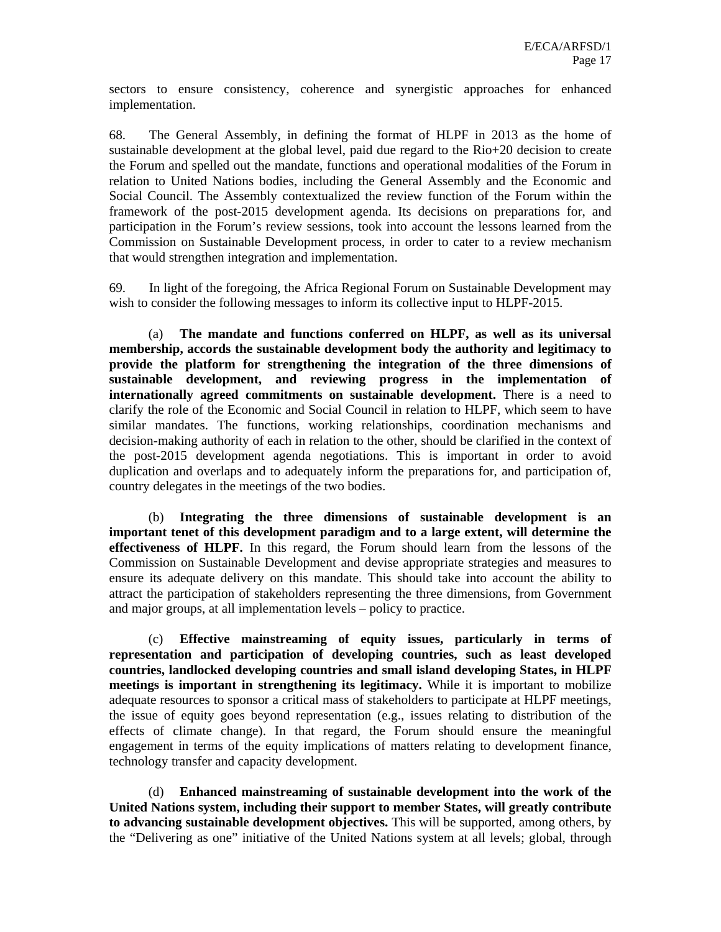sectors to ensure consistency, coherence and synergistic approaches for enhanced implementation.

68. The General Assembly, in defining the format of HLPF in 2013 as the home of sustainable development at the global level, paid due regard to the Rio+20 decision to create the Forum and spelled out the mandate, functions and operational modalities of the Forum in relation to United Nations bodies, including the General Assembly and the Economic and Social Council. The Assembly contextualized the review function of the Forum within the framework of the post-2015 development agenda. Its decisions on preparations for, and participation in the Forum's review sessions, took into account the lessons learned from the Commission on Sustainable Development process, in order to cater to a review mechanism that would strengthen integration and implementation.

69. In light of the foregoing, the Africa Regional Forum on Sustainable Development may wish to consider the following messages to inform its collective input to HLPF-2015.

(a) **The mandate and functions conferred on HLPF, as well as its universal membership, accords the sustainable development body the authority and legitimacy to provide the platform for strengthening the integration of the three dimensions of sustainable development, and reviewing progress in the implementation of internationally agreed commitments on sustainable development.** There is a need to clarify the role of the Economic and Social Council in relation to HLPF, which seem to have similar mandates. The functions, working relationships, coordination mechanisms and decision-making authority of each in relation to the other, should be clarified in the context of the post-2015 development agenda negotiations. This is important in order to avoid duplication and overlaps and to adequately inform the preparations for, and participation of, country delegates in the meetings of the two bodies.

(b) **Integrating the three dimensions of sustainable development is an important tenet of this development paradigm and to a large extent, will determine the effectiveness of HLPF.** In this regard, the Forum should learn from the lessons of the Commission on Sustainable Development and devise appropriate strategies and measures to ensure its adequate delivery on this mandate. This should take into account the ability to attract the participation of stakeholders representing the three dimensions, from Government and major groups, at all implementation levels – policy to practice.

(c) **Effective mainstreaming of equity issues, particularly in terms of representation and participation of developing countries, such as least developed countries, landlocked developing countries and small island developing States, in HLPF meetings is important in strengthening its legitimacy.** While it is important to mobilize adequate resources to sponsor a critical mass of stakeholders to participate at HLPF meetings, the issue of equity goes beyond representation (e.g., issues relating to distribution of the effects of climate change). In that regard, the Forum should ensure the meaningful engagement in terms of the equity implications of matters relating to development finance, technology transfer and capacity development.

(d) **Enhanced mainstreaming of sustainable development into the work of the United Nations system, including their support to member States, will greatly contribute to advancing sustainable development objectives.** This will be supported, among others, by the "Delivering as one" initiative of the United Nations system at all levels; global, through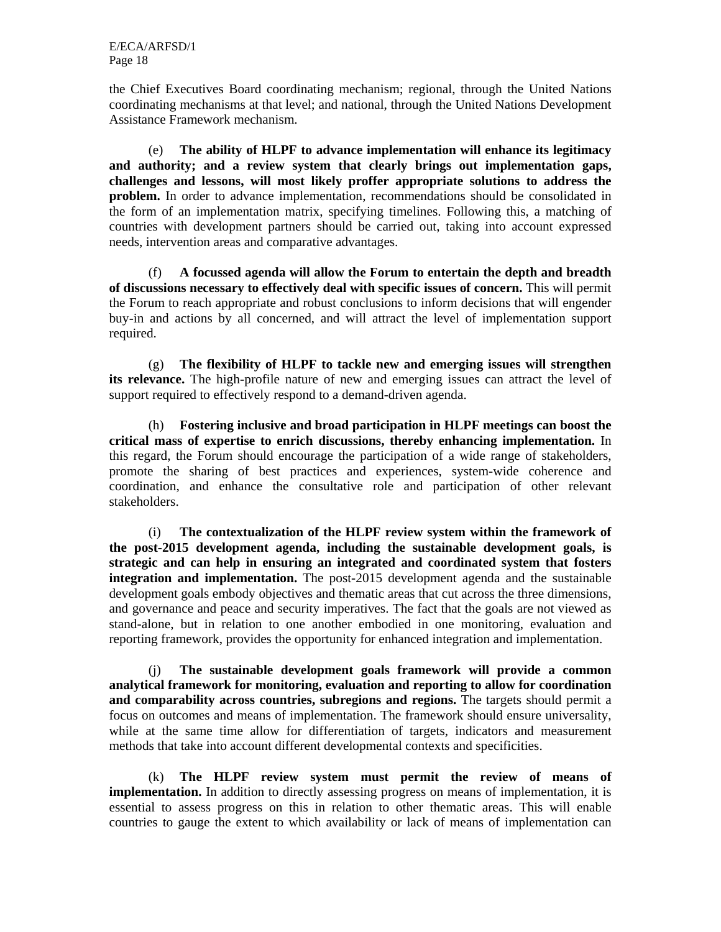the Chief Executives Board coordinating mechanism; regional, through the United Nations coordinating mechanisms at that level; and national, through the United Nations Development Assistance Framework mechanism.

(e) **The ability of HLPF to advance implementation will enhance its legitimacy and authority; and a review system that clearly brings out implementation gaps, challenges and lessons, will most likely proffer appropriate solutions to address the problem.** In order to advance implementation, recommendations should be consolidated in the form of an implementation matrix, specifying timelines. Following this, a matching of countries with development partners should be carried out, taking into account expressed needs, intervention areas and comparative advantages.

(f) **A focussed agenda will allow the Forum to entertain the depth and breadth of discussions necessary to effectively deal with specific issues of concern.** This will permit the Forum to reach appropriate and robust conclusions to inform decisions that will engender buy-in and actions by all concerned, and will attract the level of implementation support required.

(g) **The flexibility of HLPF to tackle new and emerging issues will strengthen its relevance.** The high-profile nature of new and emerging issues can attract the level of support required to effectively respond to a demand-driven agenda.

(h) **Fostering inclusive and broad participation in HLPF meetings can boost the critical mass of expertise to enrich discussions, thereby enhancing implementation.** In this regard, the Forum should encourage the participation of a wide range of stakeholders, promote the sharing of best practices and experiences, system-wide coherence and coordination, and enhance the consultative role and participation of other relevant stakeholders.

(i) **The contextualization of the HLPF review system within the framework of the post-2015 development agenda, including the sustainable development goals, is strategic and can help in ensuring an integrated and coordinated system that fosters integration and implementation.** The post-2015 development agenda and the sustainable development goals embody objectives and thematic areas that cut across the three dimensions, and governance and peace and security imperatives. The fact that the goals are not viewed as stand-alone, but in relation to one another embodied in one monitoring, evaluation and reporting framework, provides the opportunity for enhanced integration and implementation.

(j) **The sustainable development goals framework will provide a common analytical framework for monitoring, evaluation and reporting to allow for coordination and comparability across countries, subregions and regions.** The targets should permit a focus on outcomes and means of implementation. The framework should ensure universality, while at the same time allow for differentiation of targets, indicators and measurement methods that take into account different developmental contexts and specificities.

(k) **The HLPF review system must permit the review of means of implementation.** In addition to directly assessing progress on means of implementation, it is essential to assess progress on this in relation to other thematic areas. This will enable countries to gauge the extent to which availability or lack of means of implementation can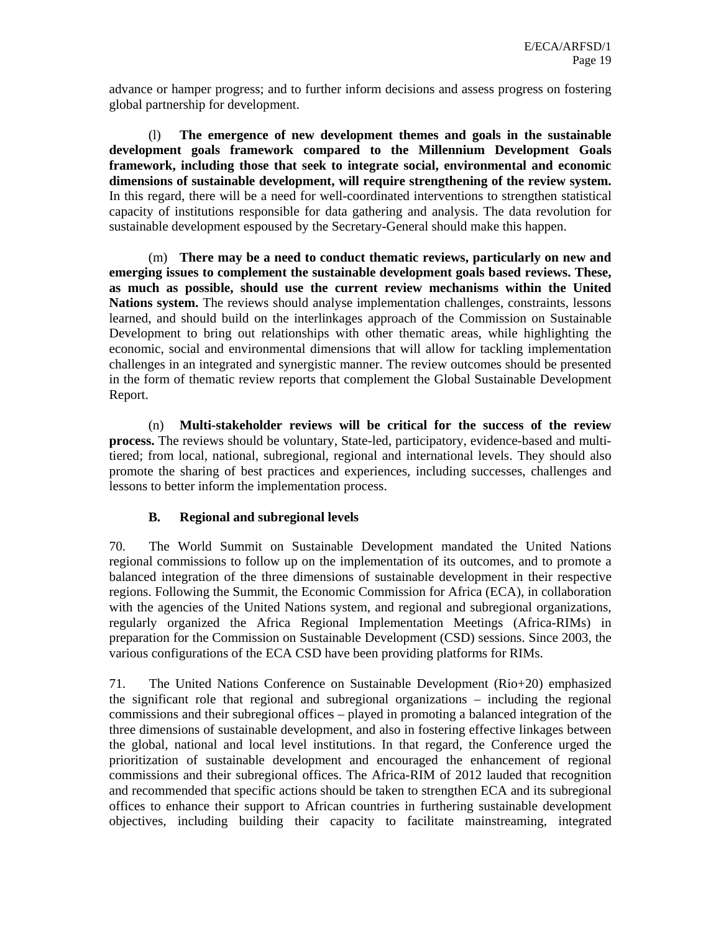advance or hamper progress; and to further inform decisions and assess progress on fostering global partnership for development.

(l) **The emergence of new development themes and goals in the sustainable development goals framework compared to the Millennium Development Goals framework, including those that seek to integrate social, environmental and economic dimensions of sustainable development, will require strengthening of the review system.**  In this regard, there will be a need for well-coordinated interventions to strengthen statistical capacity of institutions responsible for data gathering and analysis. The data revolution for sustainable development espoused by the Secretary-General should make this happen.

(m) **There may be a need to conduct thematic reviews, particularly on new and emerging issues to complement the sustainable development goals based reviews. These, as much as possible, should use the current review mechanisms within the United Nations system.** The reviews should analyse implementation challenges, constraints, lessons learned, and should build on the interlinkages approach of the Commission on Sustainable Development to bring out relationships with other thematic areas, while highlighting the economic, social and environmental dimensions that will allow for tackling implementation challenges in an integrated and synergistic manner. The review outcomes should be presented in the form of thematic review reports that complement the Global Sustainable Development Report.

(n) **Multi-stakeholder reviews will be critical for the success of the review process.** The reviews should be voluntary, State-led, participatory, evidence-based and multitiered; from local, national, subregional, regional and international levels. They should also promote the sharing of best practices and experiences, including successes, challenges and lessons to better inform the implementation process.

### **B. Regional and subregional levels**

70. The World Summit on Sustainable Development mandated the United Nations regional commissions to follow up on the implementation of its outcomes, and to promote a balanced integration of the three dimensions of sustainable development in their respective regions. Following the Summit, the Economic Commission for Africa (ECA), in collaboration with the agencies of the United Nations system, and regional and subregional organizations, regularly organized the Africa Regional Implementation Meetings (Africa-RIMs) in preparation for the Commission on Sustainable Development (CSD) sessions. Since 2003, the various configurations of the ECA CSD have been providing platforms for RIMs.

71. The United Nations Conference on Sustainable Development (Rio+20) emphasized the significant role that regional and subregional organizations – including the regional commissions and their subregional offices – played in promoting a balanced integration of the three dimensions of sustainable development, and also in fostering effective linkages between the global, national and local level institutions. In that regard, the Conference urged the prioritization of sustainable development and encouraged the enhancement of regional commissions and their subregional offices. The Africa-RIM of 2012 lauded that recognition and recommended that specific actions should be taken to strengthen ECA and its subregional offices to enhance their support to African countries in furthering sustainable development objectives, including building their capacity to facilitate mainstreaming, integrated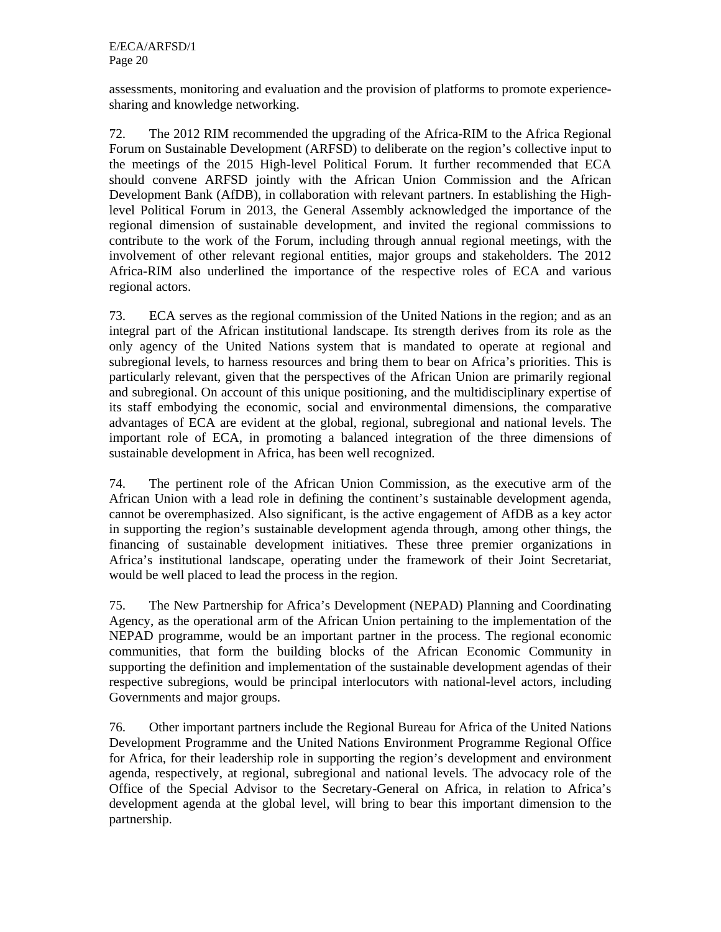assessments, monitoring and evaluation and the provision of platforms to promote experiencesharing and knowledge networking.

72. The 2012 RIM recommended the upgrading of the Africa-RIM to the Africa Regional Forum on Sustainable Development (ARFSD) to deliberate on the region's collective input to the meetings of the 2015 High-level Political Forum. It further recommended that ECA should convene ARFSD jointly with the African Union Commission and the African Development Bank (AfDB), in collaboration with relevant partners. In establishing the Highlevel Political Forum in 2013, the General Assembly acknowledged the importance of the regional dimension of sustainable development, and invited the regional commissions to contribute to the work of the Forum, including through annual regional meetings, with the involvement of other relevant regional entities, major groups and stakeholders. The 2012 Africa-RIM also underlined the importance of the respective roles of ECA and various regional actors.

73. ECA serves as the regional commission of the United Nations in the region; and as an integral part of the African institutional landscape. Its strength derives from its role as the only agency of the United Nations system that is mandated to operate at regional and subregional levels, to harness resources and bring them to bear on Africa's priorities. This is particularly relevant, given that the perspectives of the African Union are primarily regional and subregional. On account of this unique positioning, and the multidisciplinary expertise of its staff embodying the economic, social and environmental dimensions, the comparative advantages of ECA are evident at the global, regional, subregional and national levels. The important role of ECA, in promoting a balanced integration of the three dimensions of sustainable development in Africa, has been well recognized.

74. The pertinent role of the African Union Commission, as the executive arm of the African Union with a lead role in defining the continent's sustainable development agenda, cannot be overemphasized. Also significant, is the active engagement of AfDB as a key actor in supporting the region's sustainable development agenda through, among other things, the financing of sustainable development initiatives. These three premier organizations in Africa's institutional landscape, operating under the framework of their Joint Secretariat, would be well placed to lead the process in the region.

75. The New Partnership for Africa's Development (NEPAD) Planning and Coordinating Agency, as the operational arm of the African Union pertaining to the implementation of the NEPAD programme, would be an important partner in the process. The regional economic communities, that form the building blocks of the African Economic Community in supporting the definition and implementation of the sustainable development agendas of their respective subregions, would be principal interlocutors with national-level actors, including Governments and major groups.

76. Other important partners include the Regional Bureau for Africa of the United Nations Development Programme and the United Nations Environment Programme Regional Office for Africa, for their leadership role in supporting the region's development and environment agenda, respectively, at regional, subregional and national levels. The advocacy role of the Office of the Special Advisor to the Secretary-General on Africa, in relation to Africa's development agenda at the global level, will bring to bear this important dimension to the partnership.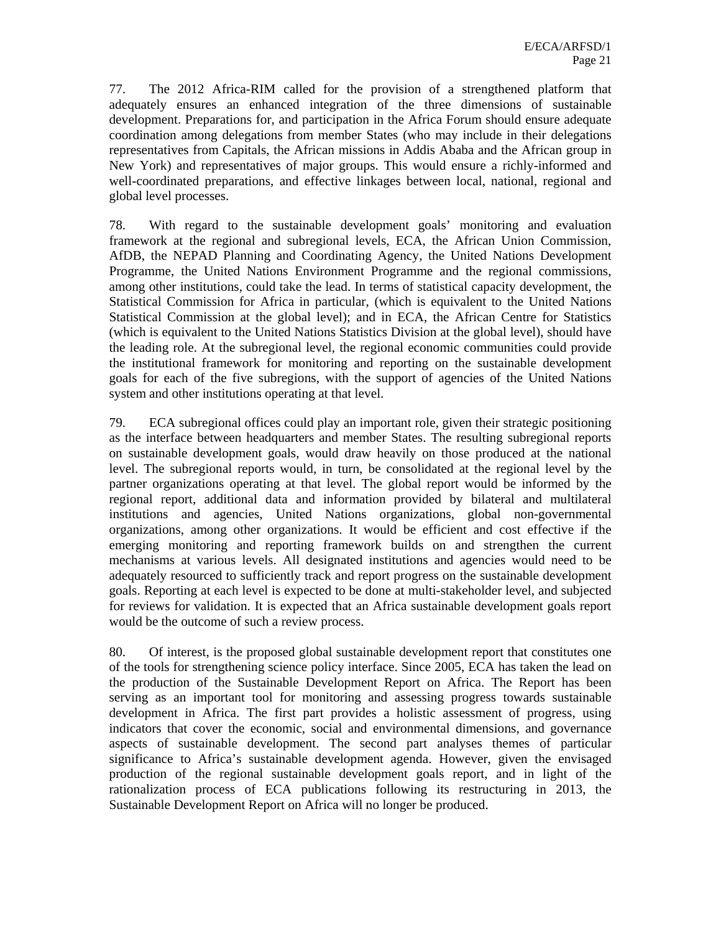77. The 2012 Africa-RIM called for the provision of a strengthened platform that adequately ensures an enhanced integration of the three dimensions of sustainable development. Preparations for, and participation in the Africa Forum should ensure adequate coordination among delegations from member States (who may include in their delegations representatives from Capitals, the African missions in Addis Ababa and the African group in New York) and representatives of major groups. This would ensure a richly-informed and well-coordinated preparations, and effective linkages between local, national, regional and global level processes.

78. With regard to the sustainable development goals' monitoring and evaluation framework at the regional and subregional levels, ECA, the African Union Commission, AfDB, the NEPAD Planning and Coordinating Agency, the United Nations Development Programme, the United Nations Environment Programme and the regional commissions, among other institutions, could take the lead. In terms of statistical capacity development, the Statistical Commission for Africa in particular, (which is equivalent to the United Nations Statistical Commission at the global level); and in ECA, the African Centre for Statistics (which is equivalent to the United Nations Statistics Division at the global level), should have the leading role. At the subregional level, the regional economic communities could provide the institutional framework for monitoring and reporting on the sustainable development goals for each of the five subregions, with the support of agencies of the United Nations system and other institutions operating at that level.

79. ECA subregional offices could play an important role, given their strategic positioning as the interface between headquarters and member States. The resulting subregional reports on sustainable development goals, would draw heavily on those produced at the national level. The subregional reports would, in turn, be consolidated at the regional level by the partner organizations operating at that level. The global report would be informed by the regional report, additional data and information provided by bilateral and multilateral institutions and agencies, United Nations organizations, global non-governmental organizations, among other organizations. It would be efficient and cost effective if the emerging monitoring and reporting framework builds on and strengthen the current mechanisms at various levels. All designated institutions and agencies would need to be adequately resourced to sufficiently track and report progress on the sustainable development goals. Reporting at each level is expected to be done at multi-stakeholder level, and subjected for reviews for validation. It is expected that an Africa sustainable development goals report would be the outcome of such a review process.

80. Of interest, is the proposed global sustainable development report that constitutes one of the tools for strengthening science policy interface. Since 2005, ECA has taken the lead on the production of the Sustainable Development Report on Africa. The Report has been serving as an important tool for monitoring and assessing progress towards sustainable development in Africa. The first part provides a holistic assessment of progress, using indicators that cover the economic, social and environmental dimensions, and governance aspects of sustainable development. The second part analyses themes of particular significance to Africa's sustainable development agenda. However, given the envisaged production of the regional sustainable development goals report, and in light of the rationalization process of ECA publications following its restructuring in 2013, the Sustainable Development Report on Africa will no longer be produced.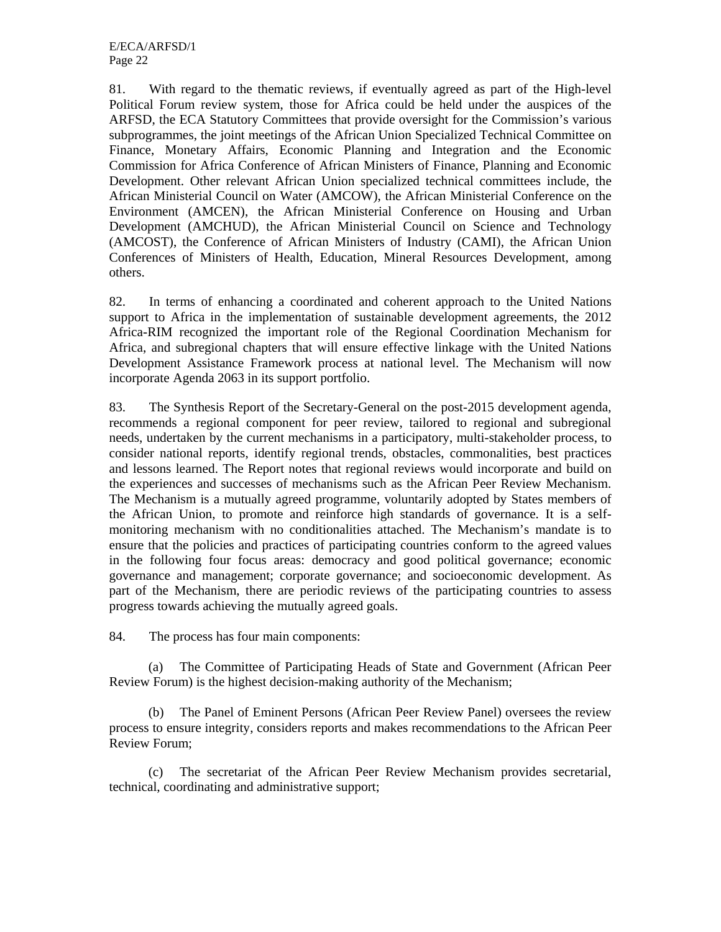81. With regard to the thematic reviews, if eventually agreed as part of the High-level Political Forum review system, those for Africa could be held under the auspices of the ARFSD, the ECA Statutory Committees that provide oversight for the Commission's various subprogrammes, the joint meetings of the African Union Specialized Technical Committee on Finance, Monetary Affairs, Economic Planning and Integration and the Economic Commission for Africa Conference of African Ministers of Finance, Planning and Economic Development. Other relevant African Union specialized technical committees include, the African Ministerial Council on Water (AMCOW), the African Ministerial Conference on the Environment (AMCEN), the African Ministerial Conference on Housing and Urban Development (AMCHUD), the African Ministerial Council on Science and Technology (AMCOST), the Conference of African Ministers of Industry (CAMI), the African Union Conferences of Ministers of Health, Education, Mineral Resources Development, among others.

82. In terms of enhancing a coordinated and coherent approach to the United Nations support to Africa in the implementation of sustainable development agreements, the 2012 Africa-RIM recognized the important role of the Regional Coordination Mechanism for Africa, and subregional chapters that will ensure effective linkage with the United Nations Development Assistance Framework process at national level. The Mechanism will now incorporate Agenda 2063 in its support portfolio.

83. The Synthesis Report of the Secretary-General on the post-2015 development agenda, recommends a regional component for peer review, tailored to regional and subregional needs, undertaken by the current mechanisms in a participatory, multi-stakeholder process, to consider national reports, identify regional trends, obstacles, commonalities, best practices and lessons learned. The Report notes that regional reviews would incorporate and build on the experiences and successes of mechanisms such as the African Peer Review Mechanism. The Mechanism is a mutually agreed programme, voluntarily adopted by States members of the African Union, to promote and reinforce high standards of governance. It is a selfmonitoring mechanism with no conditionalities attached. The Mechanism's mandate is to ensure that the policies and practices of participating countries conform to the agreed values in the following four focus areas: democracy and good political governance; economic governance and management; corporate governance; and socioeconomic development. As part of the Mechanism, there are periodic reviews of the participating countries to assess progress towards achieving the mutually agreed goals.

84. The process has four main components:

(a) The Committee of Participating Heads of State and Government (African Peer Review Forum) is the highest decision-making authority of the Mechanism;

(b) The Panel of Eminent Persons (African Peer Review Panel) oversees the review process to ensure integrity, considers reports and makes recommendations to the African Peer Review Forum;

(c) The secretariat of the African Peer Review Mechanism provides secretarial, technical, coordinating and administrative support;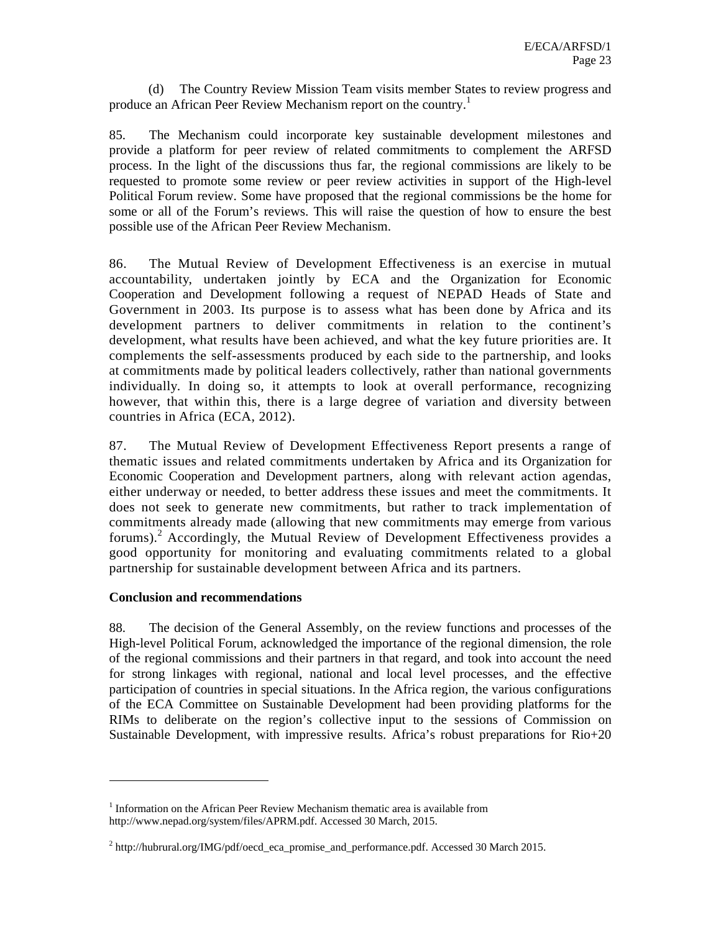(d) The Country Review Mission Team visits member States to review progress and produce an African Peer Review Mechanism report on the country.<sup>1</sup>

85. The Mechanism could incorporate key sustainable development milestones and provide a platform for peer review of related commitments to complement the ARFSD process. In the light of the discussions thus far, the regional commissions are likely to be requested to promote some review or peer review activities in support of the High-level Political Forum review. Some have proposed that the regional commissions be the home for some or all of the Forum's reviews. This will raise the question of how to ensure the best possible use of the African Peer Review Mechanism.

86. The Mutual Review of Development Effectiveness is an exercise in mutual accountability, undertaken jointly by ECA and the Organization for Economic Cooperation and Development following a request of NEPAD Heads of State and Government in 2003. Its purpose is to assess what has been done by Africa and its development partners to deliver commitments in relation to the continent's development, what results have been achieved, and what the key future priorities are. It complements the self-assessments produced by each side to the partnership, and looks at commitments made by political leaders collectively, rather than national governments individually. In doing so, it attempts to look at overall performance, recognizing however, that within this, there is a large degree of variation and diversity between countries in Africa (ECA, 2012).

87. The Mutual Review of Development Effectiveness Report presents a range of thematic issues and related commitments undertaken by Africa and its Organization for Economic Cooperation and Development partners, along with relevant action agendas, either underway or needed, to better address these issues and meet the commitments. It does not seek to generate new commitments, but rather to track implementation of commitments already made (allowing that new commitments may emerge from various forums).<sup>2</sup> Accordingly, the Mutual Review of Development Effectiveness provides a good opportunity for monitoring and evaluating commitments related to a global partnership for sustainable development between Africa and its partners.

#### **Conclusion and recommendations**

 $\overline{a}$ 

88. The decision of the General Assembly, on the review functions and processes of the High-level Political Forum, acknowledged the importance of the regional dimension, the role of the regional commissions and their partners in that regard, and took into account the need for strong linkages with regional, national and local level processes, and the effective participation of countries in special situations. In the Africa region, the various configurations of the ECA Committee on Sustainable Development had been providing platforms for the RIMs to deliberate on the region's collective input to the sessions of Commission on Sustainable Development, with impressive results. Africa's robust preparations for Rio+20

<sup>&</sup>lt;sup>1</sup> Information on the African Peer Review Mechanism thematic area is available from http://www.nepad.org/system/files/APRM.pdf. Accessed 30 March, 2015.

 $2 \text{ http://hubrural.org/IMG/pdf/oecd_eca\_promise\_and\_performance.pdf.$  Accessed 30 March 2015.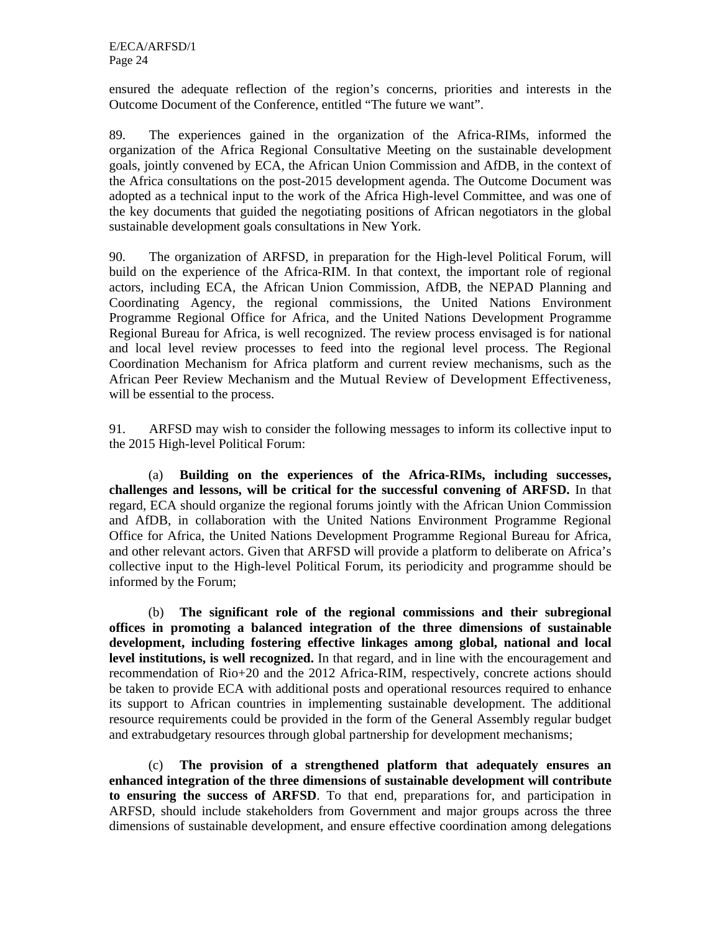ensured the adequate reflection of the region's concerns, priorities and interests in the Outcome Document of the Conference, entitled "The future we want".

89. The experiences gained in the organization of the Africa-RIMs, informed the organization of the Africa Regional Consultative Meeting on the sustainable development goals, jointly convened by ECA, the African Union Commission and AfDB, in the context of the Africa consultations on the post-2015 development agenda. The Outcome Document was adopted as a technical input to the work of the Africa High-level Committee, and was one of the key documents that guided the negotiating positions of African negotiators in the global sustainable development goals consultations in New York.

90. The organization of ARFSD, in preparation for the High-level Political Forum, will build on the experience of the Africa-RIM. In that context, the important role of regional actors, including ECA, the African Union Commission, AfDB, the NEPAD Planning and Coordinating Agency, the regional commissions, the United Nations Environment Programme Regional Office for Africa, and the United Nations Development Programme Regional Bureau for Africa, is well recognized. The review process envisaged is for national and local level review processes to feed into the regional level process. The Regional Coordination Mechanism for Africa platform and current review mechanisms, such as the African Peer Review Mechanism and the Mutual Review of Development Effectiveness, will be essential to the process.

91. ARFSD may wish to consider the following messages to inform its collective input to the 2015 High-level Political Forum:

(a) **Building on the experiences of the Africa-RIMs, including successes, challenges and lessons, will be critical for the successful convening of ARFSD.** In that regard, ECA should organize the regional forums jointly with the African Union Commission and AfDB, in collaboration with the United Nations Environment Programme Regional Office for Africa, the United Nations Development Programme Regional Bureau for Africa, and other relevant actors. Given that ARFSD will provide a platform to deliberate on Africa's collective input to the High-level Political Forum, its periodicity and programme should be informed by the Forum;

(b) **The significant role of the regional commissions and their subregional offices in promoting a balanced integration of the three dimensions of sustainable development, including fostering effective linkages among global, national and local level institutions, is well recognized.** In that regard, and in line with the encouragement and recommendation of Rio+20 and the 2012 Africa-RIM, respectively, concrete actions should be taken to provide ECA with additional posts and operational resources required to enhance its support to African countries in implementing sustainable development. The additional resource requirements could be provided in the form of the General Assembly regular budget and extrabudgetary resources through global partnership for development mechanisms;

(c) **The provision of a strengthened platform that adequately ensures an enhanced integration of the three dimensions of sustainable development will contribute to ensuring the success of ARFSD**. To that end, preparations for, and participation in ARFSD, should include stakeholders from Government and major groups across the three dimensions of sustainable development, and ensure effective coordination among delegations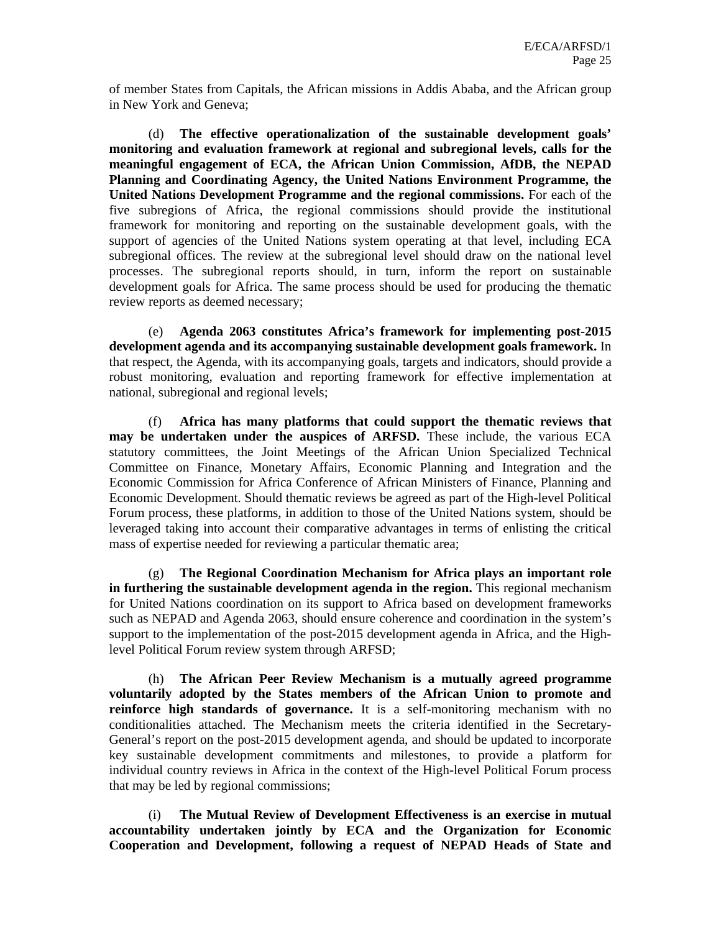of member States from Capitals, the African missions in Addis Ababa, and the African group in New York and Geneva;

(d) **The effective operationalization of the sustainable development goals' monitoring and evaluation framework at regional and subregional levels, calls for the meaningful engagement of ECA, the African Union Commission, AfDB, the NEPAD Planning and Coordinating Agency, the United Nations Environment Programme, the United Nations Development Programme and the regional commissions.** For each of the five subregions of Africa, the regional commissions should provide the institutional framework for monitoring and reporting on the sustainable development goals, with the support of agencies of the United Nations system operating at that level, including ECA subregional offices. The review at the subregional level should draw on the national level processes. The subregional reports should, in turn, inform the report on sustainable development goals for Africa. The same process should be used for producing the thematic review reports as deemed necessary;

(e) **Agenda 2063 constitutes Africa's framework for implementing post-2015 development agenda and its accompanying sustainable development goals framework.** In that respect, the Agenda, with its accompanying goals, targets and indicators, should provide a robust monitoring, evaluation and reporting framework for effective implementation at national, subregional and regional levels;

(f) **Africa has many platforms that could support the thematic reviews that may be undertaken under the auspices of ARFSD.** These include, the various ECA statutory committees, the Joint Meetings of the African Union Specialized Technical Committee on Finance, Monetary Affairs, Economic Planning and Integration and the Economic Commission for Africa Conference of African Ministers of Finance, Planning and Economic Development. Should thematic reviews be agreed as part of the High-level Political Forum process, these platforms, in addition to those of the United Nations system, should be leveraged taking into account their comparative advantages in terms of enlisting the critical mass of expertise needed for reviewing a particular thematic area;

(g) **The Regional Coordination Mechanism for Africa plays an important role in furthering the sustainable development agenda in the region.** This regional mechanism for United Nations coordination on its support to Africa based on development frameworks such as NEPAD and Agenda 2063, should ensure coherence and coordination in the system's support to the implementation of the post-2015 development agenda in Africa, and the Highlevel Political Forum review system through ARFSD;

(h) **The African Peer Review Mechanism is a mutually agreed programme voluntarily adopted by the States members of the African Union to promote and reinforce high standards of governance.** It is a self-monitoring mechanism with no conditionalities attached. The Mechanism meets the criteria identified in the Secretary-General's report on the post-2015 development agenda, and should be updated to incorporate key sustainable development commitments and milestones, to provide a platform for individual country reviews in Africa in the context of the High-level Political Forum process that may be led by regional commissions;

(i) **The Mutual Review of Development Effectiveness is an exercise in mutual accountability undertaken jointly by ECA and the Organization for Economic Cooperation and Development, following a request of NEPAD Heads of State and**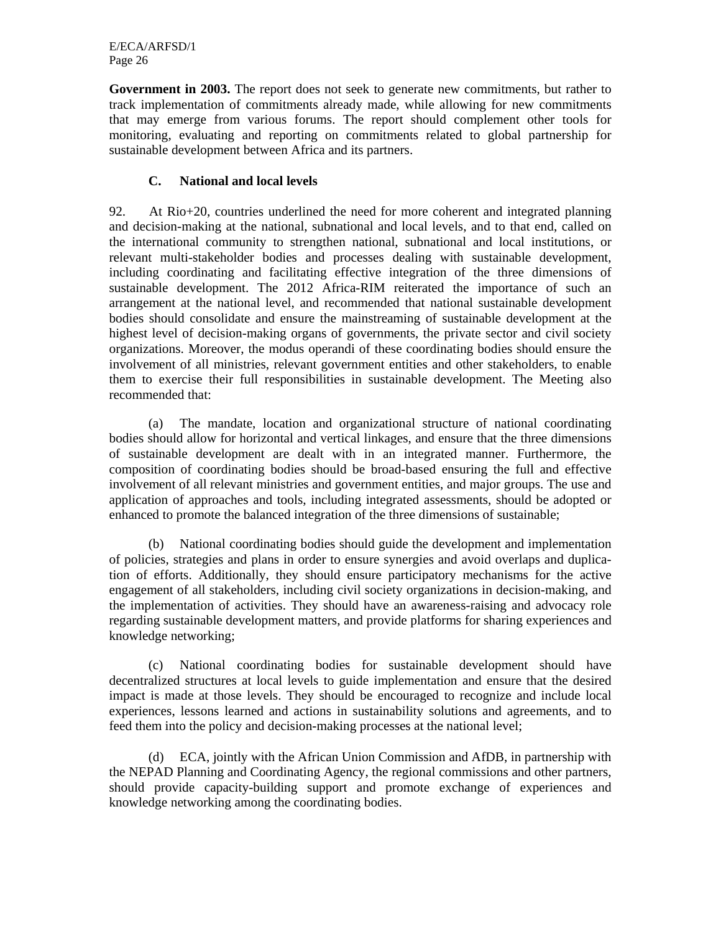**Government in 2003.** The report does not seek to generate new commitments, but rather to track implementation of commitments already made, while allowing for new commitments that may emerge from various forums. The report should complement other tools for monitoring, evaluating and reporting on commitments related to global partnership for sustainable development between Africa and its partners.

## **C. National and local levels**

92. At Rio+20, countries underlined the need for more coherent and integrated planning and decision-making at the national, subnational and local levels, and to that end, called on the international community to strengthen national, subnational and local institutions, or relevant multi-stakeholder bodies and processes dealing with sustainable development, including coordinating and facilitating effective integration of the three dimensions of sustainable development. The 2012 Africa-RIM reiterated the importance of such an arrangement at the national level, and recommended that national sustainable development bodies should consolidate and ensure the mainstreaming of sustainable development at the highest level of decision-making organs of governments, the private sector and civil society organizations. Moreover, the modus operandi of these coordinating bodies should ensure the involvement of all ministries, relevant government entities and other stakeholders, to enable them to exercise their full responsibilities in sustainable development. The Meeting also recommended that:

(a) The mandate, location and organizational structure of national coordinating bodies should allow for horizontal and vertical linkages, and ensure that the three dimensions of sustainable development are dealt with in an integrated manner. Furthermore, the composition of coordinating bodies should be broad-based ensuring the full and effective involvement of all relevant ministries and government entities, and major groups. The use and application of approaches and tools, including integrated assessments, should be adopted or enhanced to promote the balanced integration of the three dimensions of sustainable;

(b) National coordinating bodies should guide the development and implementation of policies, strategies and plans in order to ensure synergies and avoid overlaps and duplication of efforts. Additionally, they should ensure participatory mechanisms for the active engagement of all stakeholders, including civil society organizations in decision-making, and the implementation of activities. They should have an awareness-raising and advocacy role regarding sustainable development matters, and provide platforms for sharing experiences and knowledge networking;

(c) National coordinating bodies for sustainable development should have decentralized structures at local levels to guide implementation and ensure that the desired impact is made at those levels. They should be encouraged to recognize and include local experiences, lessons learned and actions in sustainability solutions and agreements, and to feed them into the policy and decision-making processes at the national level;

(d) ECA, jointly with the African Union Commission and AfDB, in partnership with the NEPAD Planning and Coordinating Agency, the regional commissions and other partners, should provide capacity-building support and promote exchange of experiences and knowledge networking among the coordinating bodies.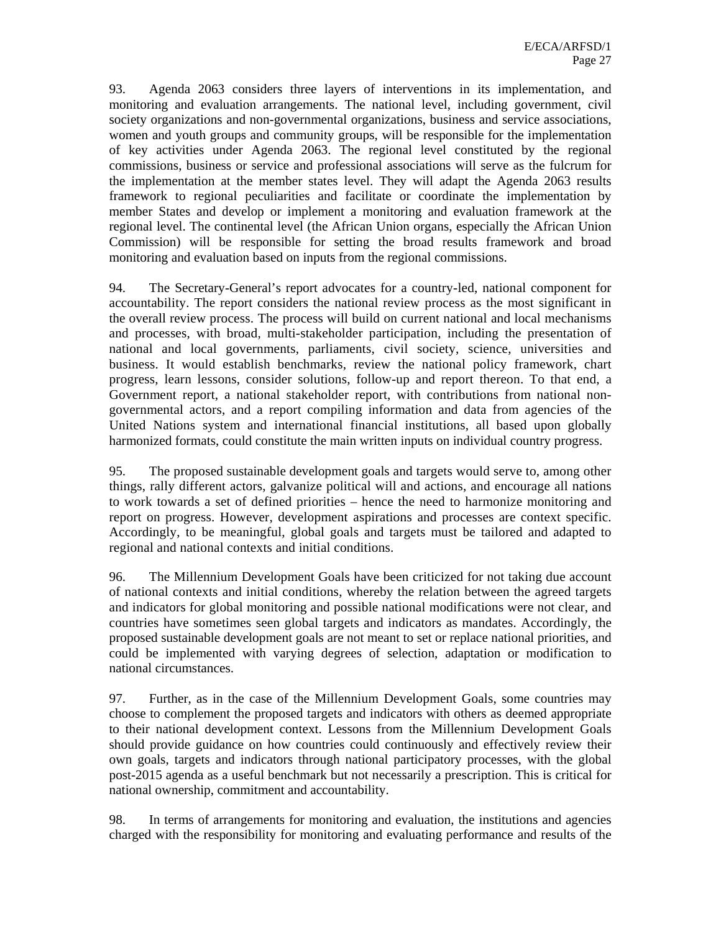93. Agenda 2063 considers three layers of interventions in its implementation, and monitoring and evaluation arrangements. The national level, including government, civil society organizations and non-governmental organizations, business and service associations, women and youth groups and community groups, will be responsible for the implementation of key activities under Agenda 2063. The regional level constituted by the regional commissions, business or service and professional associations will serve as the fulcrum for the implementation at the member states level. They will adapt the Agenda 2063 results framework to regional peculiarities and facilitate or coordinate the implementation by member States and develop or implement a monitoring and evaluation framework at the regional level. The continental level (the African Union organs, especially the African Union Commission) will be responsible for setting the broad results framework and broad monitoring and evaluation based on inputs from the regional commissions.

94. The Secretary-General's report advocates for a country-led, national component for accountability. The report considers the national review process as the most significant in the overall review process. The process will build on current national and local mechanisms and processes, with broad, multi-stakeholder participation, including the presentation of national and local governments, parliaments, civil society, science, universities and business. It would establish benchmarks, review the national policy framework, chart progress, learn lessons, consider solutions, follow-up and report thereon. To that end, a Government report, a national stakeholder report, with contributions from national nongovernmental actors, and a report compiling information and data from agencies of the United Nations system and international financial institutions, all based upon globally harmonized formats, could constitute the main written inputs on individual country progress.

95. The proposed sustainable development goals and targets would serve to, among other things, rally different actors, galvanize political will and actions, and encourage all nations to work towards a set of defined priorities – hence the need to harmonize monitoring and report on progress. However, development aspirations and processes are context specific. Accordingly, to be meaningful, global goals and targets must be tailored and adapted to regional and national contexts and initial conditions.

96. The Millennium Development Goals have been criticized for not taking due account of national contexts and initial conditions, whereby the relation between the agreed targets and indicators for global monitoring and possible national modifications were not clear, and countries have sometimes seen global targets and indicators as mandates. Accordingly, the proposed sustainable development goals are not meant to set or replace national priorities, and could be implemented with varying degrees of selection, adaptation or modification to national circumstances.

97. Further, as in the case of the Millennium Development Goals, some countries may choose to complement the proposed targets and indicators with others as deemed appropriate to their national development context. Lessons from the Millennium Development Goals should provide guidance on how countries could continuously and effectively review their own goals, targets and indicators through national participatory processes, with the global post-2015 agenda as a useful benchmark but not necessarily a prescription. This is critical for national ownership, commitment and accountability.

98. In terms of arrangements for monitoring and evaluation, the institutions and agencies charged with the responsibility for monitoring and evaluating performance and results of the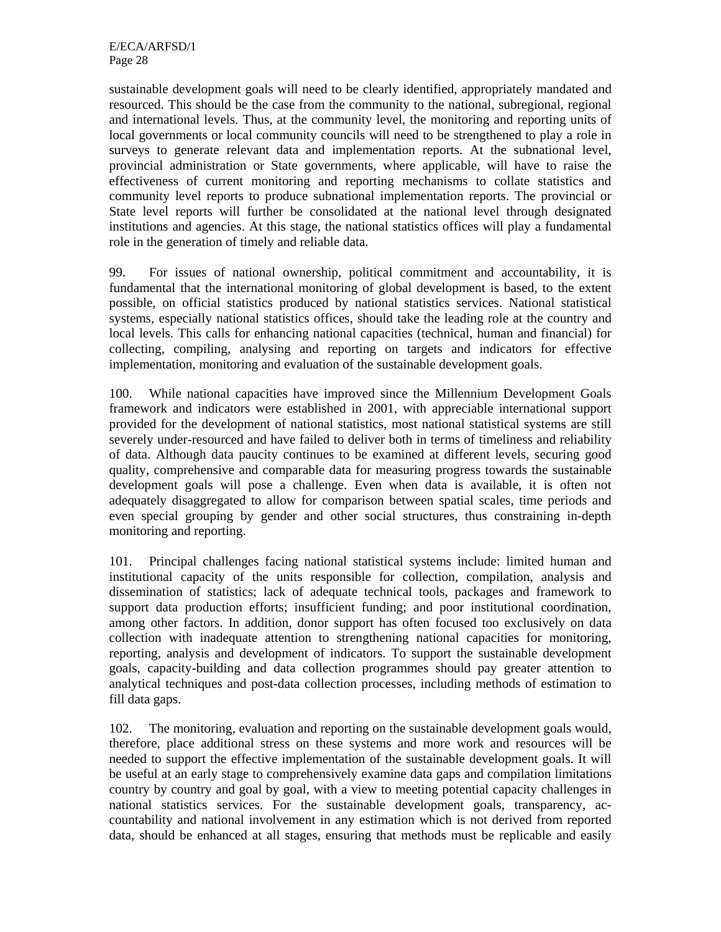sustainable development goals will need to be clearly identified, appropriately mandated and resourced. This should be the case from the community to the national, subregional, regional and international levels. Thus, at the community level, the monitoring and reporting units of local governments or local community councils will need to be strengthened to play a role in surveys to generate relevant data and implementation reports. At the subnational level, provincial administration or State governments, where applicable, will have to raise the effectiveness of current monitoring and reporting mechanisms to collate statistics and community level reports to produce subnational implementation reports. The provincial or State level reports will further be consolidated at the national level through designated institutions and agencies. At this stage, the national statistics offices will play a fundamental role in the generation of timely and reliable data.

99. For issues of national ownership, political commitment and accountability, it is fundamental that the international monitoring of global development is based, to the extent possible, on official statistics produced by national statistics services. National statistical systems, especially national statistics offices, should take the leading role at the country and local levels. This calls for enhancing national capacities (technical, human and financial) for collecting, compiling, analysing and reporting on targets and indicators for effective implementation, monitoring and evaluation of the sustainable development goals.

100. While national capacities have improved since the Millennium Development Goals framework and indicators were established in 2001, with appreciable international support provided for the development of national statistics, most national statistical systems are still severely under-resourced and have failed to deliver both in terms of timeliness and reliability of data. Although data paucity continues to be examined at different levels, securing good quality, comprehensive and comparable data for measuring progress towards the sustainable development goals will pose a challenge. Even when data is available, it is often not adequately disaggregated to allow for comparison between spatial scales, time periods and even special grouping by gender and other social structures, thus constraining in-depth monitoring and reporting.

101. Principal challenges facing national statistical systems include: limited human and institutional capacity of the units responsible for collection, compilation, analysis and dissemination of statistics; lack of adequate technical tools, packages and framework to support data production efforts; insufficient funding; and poor institutional coordination, among other factors. In addition, donor support has often focused too exclusively on data collection with inadequate attention to strengthening national capacities for monitoring, reporting, analysis and development of indicators. To support the sustainable development goals, capacity-building and data collection programmes should pay greater attention to analytical techniques and post-data collection processes, including methods of estimation to fill data gaps.

102. The monitoring, evaluation and reporting on the sustainable development goals would, therefore, place additional stress on these systems and more work and resources will be needed to support the effective implementation of the sustainable development goals. It will be useful at an early stage to comprehensively examine data gaps and compilation limitations country by country and goal by goal, with a view to meeting potential capacity challenges in national statistics services. For the sustainable development goals, transparency, accountability and national involvement in any estimation which is not derived from reported data, should be enhanced at all stages, ensuring that methods must be replicable and easily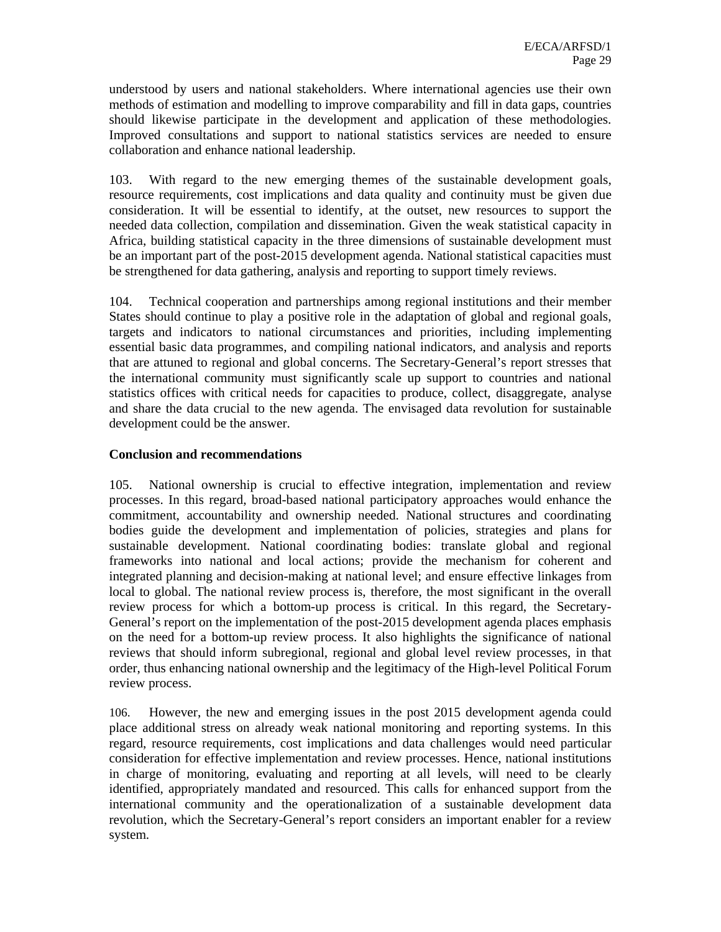understood by users and national stakeholders. Where international agencies use their own methods of estimation and modelling to improve comparability and fill in data gaps, countries should likewise participate in the development and application of these methodologies. Improved consultations and support to national statistics services are needed to ensure collaboration and enhance national leadership.

103. With regard to the new emerging themes of the sustainable development goals, resource requirements, cost implications and data quality and continuity must be given due consideration. It will be essential to identify, at the outset, new resources to support the needed data collection, compilation and dissemination. Given the weak statistical capacity in Africa, building statistical capacity in the three dimensions of sustainable development must be an important part of the post-2015 development agenda. National statistical capacities must be strengthened for data gathering, analysis and reporting to support timely reviews.

104. Technical cooperation and partnerships among regional institutions and their member States should continue to play a positive role in the adaptation of global and regional goals, targets and indicators to national circumstances and priorities, including implementing essential basic data programmes, and compiling national indicators, and analysis and reports that are attuned to regional and global concerns. The Secretary-General's report stresses that the international community must significantly scale up support to countries and national statistics offices with critical needs for capacities to produce, collect, disaggregate, analyse and share the data crucial to the new agenda. The envisaged data revolution for sustainable development could be the answer.

#### **Conclusion and recommendations**

105. National ownership is crucial to effective integration, implementation and review processes. In this regard, broad-based national participatory approaches would enhance the commitment, accountability and ownership needed. National structures and coordinating bodies guide the development and implementation of policies, strategies and plans for sustainable development. National coordinating bodies: translate global and regional frameworks into national and local actions; provide the mechanism for coherent and integrated planning and decision-making at national level; and ensure effective linkages from local to global. The national review process is, therefore, the most significant in the overall review process for which a bottom-up process is critical. In this regard, the Secretary-General's report on the implementation of the post-2015 development agenda places emphasis on the need for a bottom-up review process. It also highlights the significance of national reviews that should inform subregional, regional and global level review processes, in that order, thus enhancing national ownership and the legitimacy of the High-level Political Forum review process.

106. However, the new and emerging issues in the post 2015 development agenda could place additional stress on already weak national monitoring and reporting systems. In this regard, resource requirements, cost implications and data challenges would need particular consideration for effective implementation and review processes. Hence, national institutions in charge of monitoring, evaluating and reporting at all levels, will need to be clearly identified, appropriately mandated and resourced. This calls for enhanced support from the international community and the operationalization of a sustainable development data revolution, which the Secretary-General's report considers an important enabler for a review system.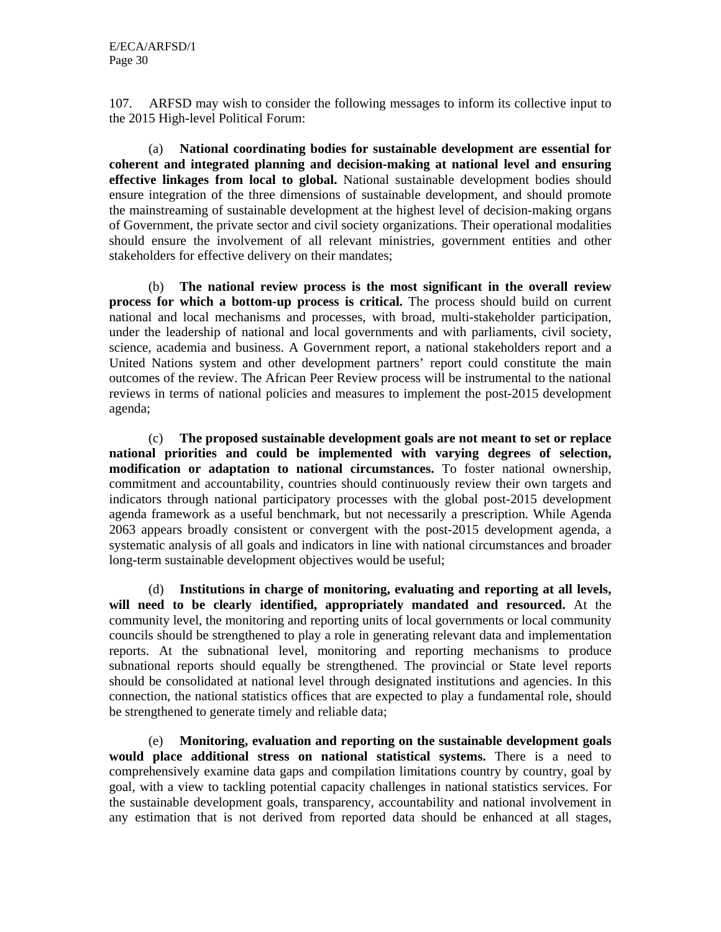107. ARFSD may wish to consider the following messages to inform its collective input to the 2015 High-level Political Forum:

(a) **National coordinating bodies for sustainable development are essential for coherent and integrated planning and decision-making at national level and ensuring effective linkages from local to global.** National sustainable development bodies should ensure integration of the three dimensions of sustainable development, and should promote the mainstreaming of sustainable development at the highest level of decision-making organs of Government, the private sector and civil society organizations. Their operational modalities should ensure the involvement of all relevant ministries, government entities and other stakeholders for effective delivery on their mandates;

(b) **The national review process is the most significant in the overall review process for which a bottom-up process is critical.** The process should build on current national and local mechanisms and processes, with broad, multi-stakeholder participation, under the leadership of national and local governments and with parliaments, civil society, science, academia and business. A Government report, a national stakeholders report and a United Nations system and other development partners' report could constitute the main outcomes of the review. The African Peer Review process will be instrumental to the national reviews in terms of national policies and measures to implement the post-2015 development agenda;

(c) **The proposed sustainable development goals are not meant to set or replace national priorities and could be implemented with varying degrees of selection, modification or adaptation to national circumstances.** To foster national ownership, commitment and accountability, countries should continuously review their own targets and indicators through national participatory processes with the global post-2015 development agenda framework as a useful benchmark, but not necessarily a prescription. While Agenda 2063 appears broadly consistent or convergent with the post-2015 development agenda, a systematic analysis of all goals and indicators in line with national circumstances and broader long-term sustainable development objectives would be useful;

(d) **Institutions in charge of monitoring, evaluating and reporting at all levels, will need to be clearly identified, appropriately mandated and resourced.** At the community level, the monitoring and reporting units of local governments or local community councils should be strengthened to play a role in generating relevant data and implementation reports. At the subnational level, monitoring and reporting mechanisms to produce subnational reports should equally be strengthened. The provincial or State level reports should be consolidated at national level through designated institutions and agencies. In this connection, the national statistics offices that are expected to play a fundamental role, should be strengthened to generate timely and reliable data;

(e) **Monitoring, evaluation and reporting on the sustainable development goals would place additional stress on national statistical systems.** There is a need to comprehensively examine data gaps and compilation limitations country by country, goal by goal, with a view to tackling potential capacity challenges in national statistics services. For the sustainable development goals, transparency, accountability and national involvement in any estimation that is not derived from reported data should be enhanced at all stages,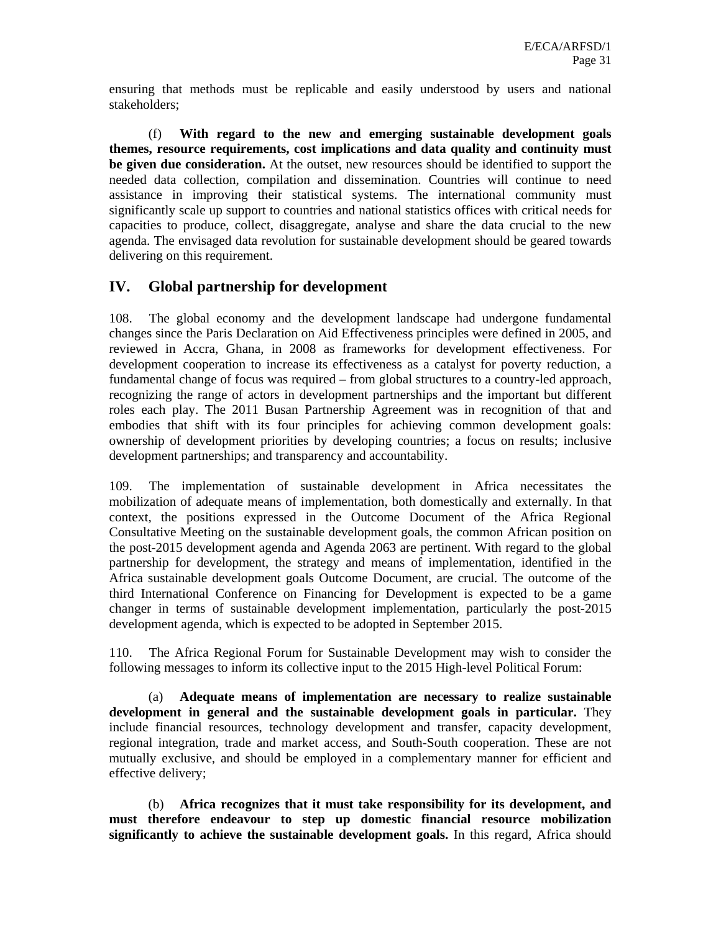ensuring that methods must be replicable and easily understood by users and national stakeholders;

(f) **With regard to the new and emerging sustainable development goals themes, resource requirements, cost implications and data quality and continuity must be given due consideration.** At the outset, new resources should be identified to support the needed data collection, compilation and dissemination. Countries will continue to need assistance in improving their statistical systems. The international community must significantly scale up support to countries and national statistics offices with critical needs for capacities to produce, collect, disaggregate, analyse and share the data crucial to the new agenda. The envisaged data revolution for sustainable development should be geared towards delivering on this requirement.

# **IV. Global partnership for development**

108. The global economy and the development landscape had undergone fundamental changes since the Paris Declaration on Aid Effectiveness principles were defined in 2005, and reviewed in Accra, Ghana, in 2008 as frameworks for development effectiveness. For development cooperation to increase its effectiveness as a catalyst for poverty reduction, a fundamental change of focus was required – from global structures to a country-led approach, recognizing the range of actors in development partnerships and the important but different roles each play. The 2011 Busan Partnership Agreement was in recognition of that and embodies that shift with its four principles for achieving common development goals: ownership of development priorities by developing countries; a focus on results; inclusive development partnerships; and transparency and accountability.

109. The implementation of sustainable development in Africa necessitates the mobilization of adequate means of implementation, both domestically and externally. In that context, the positions expressed in the Outcome Document of the Africa Regional Consultative Meeting on the sustainable development goals, the common African position on the post-2015 development agenda and Agenda 2063 are pertinent. With regard to the global partnership for development, the strategy and means of implementation, identified in the Africa sustainable development goals Outcome Document, are crucial. The outcome of the third International Conference on Financing for Development is expected to be a game changer in terms of sustainable development implementation, particularly the post-2015 development agenda, which is expected to be adopted in September 2015.

110. The Africa Regional Forum for Sustainable Development may wish to consider the following messages to inform its collective input to the 2015 High-level Political Forum:

(a) **Adequate means of implementation are necessary to realize sustainable development in general and the sustainable development goals in particular.** They include financial resources, technology development and transfer, capacity development, regional integration, trade and market access, and South-South cooperation. These are not mutually exclusive, and should be employed in a complementary manner for efficient and effective delivery;

(b) **Africa recognizes that it must take responsibility for its development, and must therefore endeavour to step up domestic financial resource mobilization significantly to achieve the sustainable development goals.** In this regard, Africa should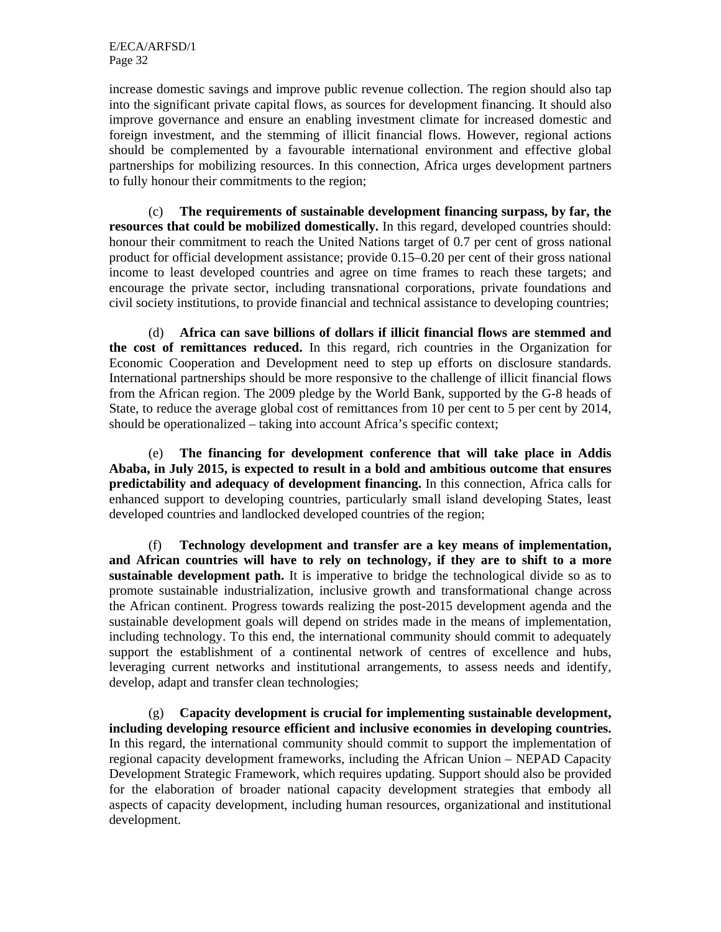increase domestic savings and improve public revenue collection. The region should also tap into the significant private capital flows, as sources for development financing. It should also improve governance and ensure an enabling investment climate for increased domestic and foreign investment, and the stemming of illicit financial flows. However, regional actions should be complemented by a favourable international environment and effective global partnerships for mobilizing resources. In this connection, Africa urges development partners to fully honour their commitments to the region;

(c) **The requirements of sustainable development financing surpass, by far, the resources that could be mobilized domestically.** In this regard, developed countries should: honour their commitment to reach the United Nations target of 0.7 per cent of gross national product for official development assistance; provide 0.15–0.20 per cent of their gross national income to least developed countries and agree on time frames to reach these targets; and encourage the private sector, including transnational corporations, private foundations and civil society institutions, to provide financial and technical assistance to developing countries;

(d) **Africa can save billions of dollars if illicit financial flows are stemmed and the cost of remittances reduced.** In this regard, rich countries in the Organization for Economic Cooperation and Development need to step up efforts on disclosure standards. International partnerships should be more responsive to the challenge of illicit financial flows from the African region. The 2009 pledge by the World Bank, supported by the G-8 heads of State, to reduce the average global cost of remittances from 10 per cent to 5 per cent by 2014, should be operationalized – taking into account Africa's specific context;

(e) **The financing for development conference that will take place in Addis Ababa, in July 2015, is expected to result in a bold and ambitious outcome that ensures predictability and adequacy of development financing.** In this connection, Africa calls for enhanced support to developing countries, particularly small island developing States, least developed countries and landlocked developed countries of the region;

(f) **Technology development and transfer are a key means of implementation, and African countries will have to rely on technology, if they are to shift to a more sustainable development path.** It is imperative to bridge the technological divide so as to promote sustainable industrialization, inclusive growth and transformational change across the African continent. Progress towards realizing the post-2015 development agenda and the sustainable development goals will depend on strides made in the means of implementation, including technology. To this end, the international community should commit to adequately support the establishment of a continental network of centres of excellence and hubs, leveraging current networks and institutional arrangements, to assess needs and identify, develop, adapt and transfer clean technologies;

(g) **Capacity development is crucial for implementing sustainable development, including developing resource efficient and inclusive economies in developing countries.** In this regard, the international community should commit to support the implementation of regional capacity development frameworks, including the African Union – NEPAD Capacity Development Strategic Framework, which requires updating. Support should also be provided for the elaboration of broader national capacity development strategies that embody all aspects of capacity development, including human resources, organizational and institutional development.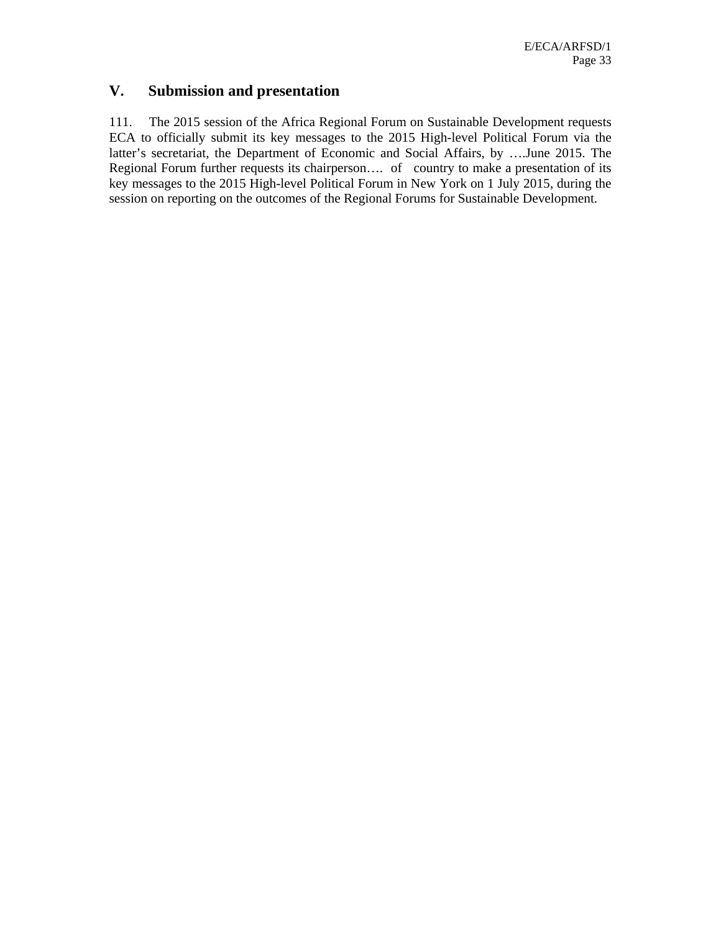# **V. Submission and presentation**

111. The 2015 session of the Africa Regional Forum on Sustainable Development requests ECA to officially submit its key messages to the 2015 High-level Political Forum via the latter's secretariat, the Department of Economic and Social Affairs, by ….June 2015. The Regional Forum further requests its chairperson…. of country to make a presentation of its key messages to the 2015 High-level Political Forum in New York on 1 July 2015, during the session on reporting on the outcomes of the Regional Forums for Sustainable Development.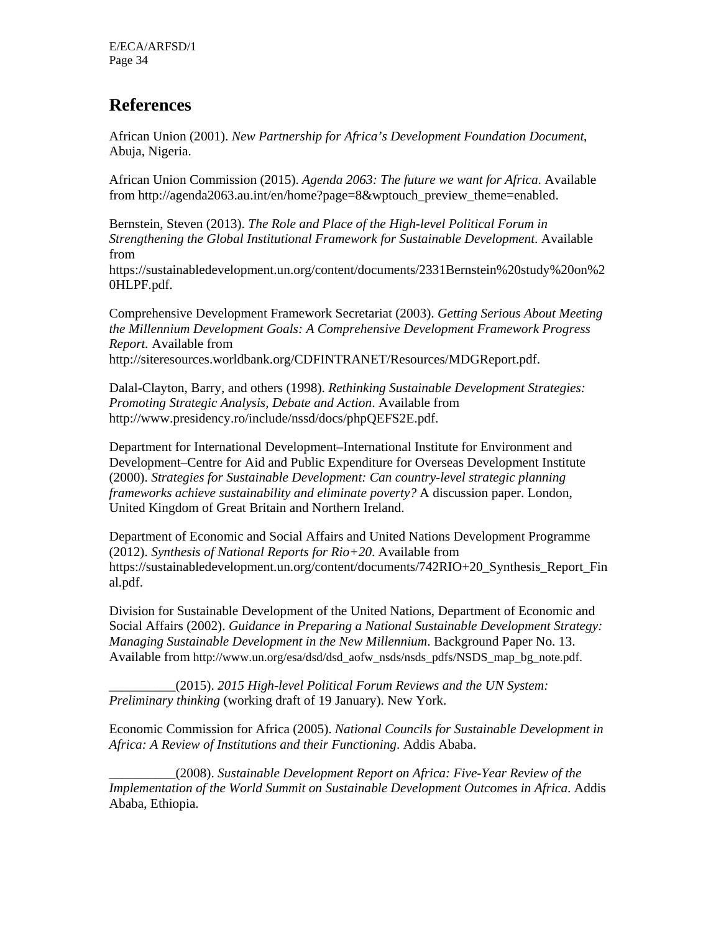# **References**

African Union (2001). *New Partnership for Africa's Development Foundation Document*, Abuja, Nigeria.

African Union Commission (2015). *Agenda 2063: The future we want for Africa*. Available from http://agenda2063.au.int/en/home?page=8&wptouch\_preview\_theme=enabled.

Bernstein, Steven (2013). *The Role and Place of the High-level Political Forum in Strengthening the Global Institutional Framework for Sustainable Development*. Available from

https://sustainabledevelopment.un.org/content/documents/2331Bernstein%20study%20on%2 0HLPF.pdf.

Comprehensive Development Framework Secretariat (2003). *Getting Serious About Meeting the Millennium Development Goals: A Comprehensive Development Framework Progress Report.* Available from http://siteresources.worldbank.org/CDFINTRANET/Resources/MDGReport.pdf.

Dalal-Clayton, Barry, and others (1998). *Rethinking Sustainable Development Strategies: Promoting Strategic Analysis, Debate and Action*. Available from http://www.presidency.ro/include/nssd/docs/phpQEFS2E.pdf.

Department for International Development–International Institute for Environment and Development–Centre for Aid and Public Expenditure for Overseas Development Institute (2000). *Strategies for Sustainable Development: Can country-level strategic planning frameworks achieve sustainability and eliminate poverty?* A discussion paper. London, United Kingdom of Great Britain and Northern Ireland.

Department of Economic and Social Affairs and United Nations Development Programme (2012). *Synthesis of National Reports for Rio+20*. Available from https://sustainabledevelopment.un.org/content/documents/742RIO+20\_Synthesis\_Report\_Fin al.pdf.

Division for Sustainable Development of the United Nations, Department of Economic and Social Affairs (2002). *Guidance in Preparing a National Sustainable Development Strategy: Managing Sustainable Development in the New Millennium*. Background Paper No. 13. Available from http://www.un.org/esa/dsd/dsd\_aofw\_nsds/nsds\_pdfs/NSDS\_map\_bg\_note.pdf.

\_\_\_\_\_\_\_\_\_\_(2015). *2015 High-level Political Forum Reviews and the UN System: Preliminary thinking* (working draft of 19 January). New York.

Economic Commission for Africa (2005). *National Councils for Sustainable Development in Africa: A Review of Institutions and their Functioning*. Addis Ababa.

\_\_\_\_\_\_\_\_\_\_(2008). *Sustainable Development Report on Africa: Five-Year Review of the Implementation of the World Summit on Sustainable Development Outcomes in Africa*. Addis Ababa, Ethiopia.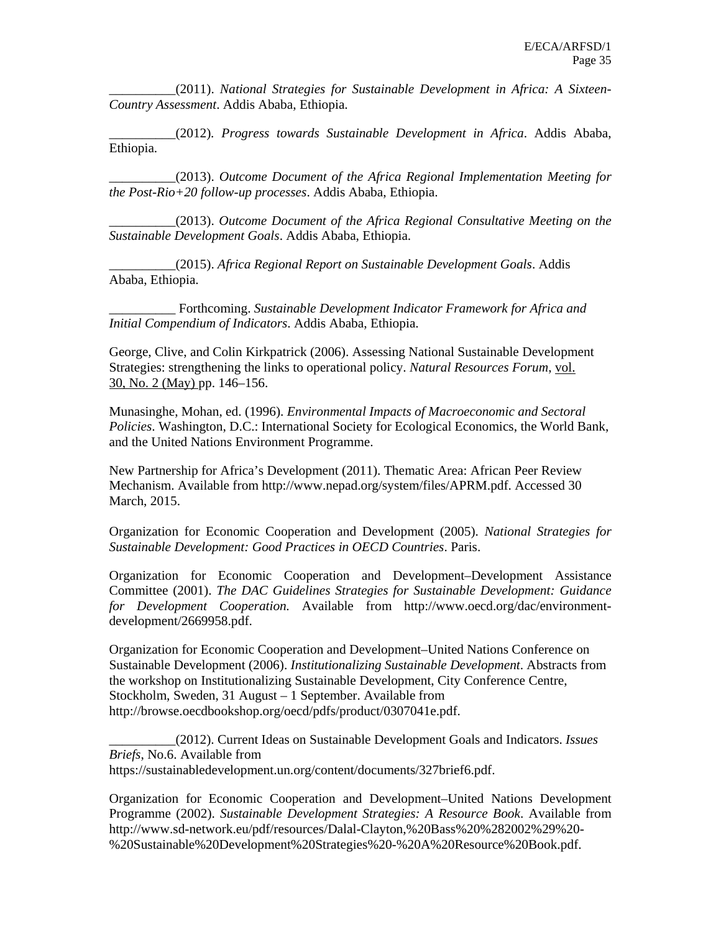\_\_\_\_\_\_\_\_\_\_(2011). *National Strategies for Sustainable Development in Africa: A Sixteen-Country Assessment*. Addis Ababa, Ethiopia.

\_\_\_\_\_\_\_\_\_\_(2012)*. Progress towards Sustainable Development in Africa*. Addis Ababa, Ethiopia.

\_\_\_\_\_\_\_\_\_\_(2013). *Outcome Document of the Africa Regional Implementation Meeting for the Post-Rio+20 follow-up processes*. Addis Ababa, Ethiopia.

\_\_\_\_\_\_\_\_\_\_(2013). *Outcome Document of the Africa Regional Consultative Meeting on the Sustainable Development Goals*. Addis Ababa, Ethiopia.

\_\_\_\_\_\_\_\_\_\_(2015). *Africa Regional Report on Sustainable Development Goals*. Addis Ababa, Ethiopia.

\_\_\_\_\_\_\_\_\_\_ Forthcoming. *Sustainable Development Indicator Framework for Africa and Initial Compendium of Indicators*. Addis Ababa, Ethiopia.

George, Clive, and Colin Kirkpatrick (2006). Assessing National Sustainable Development Strategies: strengthening the links to operational policy. *Natural Resources Forum*, vol. 30, No. 2 (May) pp. 146–156.

Munasinghe, Mohan, ed. (1996). *Environmental Impacts of Macroeconomic and Sectoral Policies*. Washington, D.C.: International Society for Ecological Economics, the World Bank, and the United Nations Environment Programme.

New Partnership for Africa's Development (2011). Thematic Area: African Peer Review Mechanism. Available from http://www.nepad.org/system/files/APRM.pdf. Accessed 30 March, 2015.

Organization for Economic Cooperation and Development (2005). *National Strategies for Sustainable Development: Good Practices in OECD Countries*. Paris.

Organization for Economic Cooperation and Development–Development Assistance Committee (2001). *The DAC Guidelines Strategies for Sustainable Development: Guidance for Development Cooperation.* Available from http://www.oecd.org/dac/environmentdevelopment/2669958.pdf.

Organization for Economic Cooperation and Development–United Nations Conference on Sustainable Development (2006). *Institutionalizing Sustainable Development*. Abstracts from the workshop on Institutionalizing Sustainable Development, City Conference Centre, Stockholm, Sweden, 31 August – 1 September. Available from http://browse.oecdbookshop.org/oecd/pdfs/product/0307041e.pdf.

\_\_\_\_\_\_\_\_\_\_(2012). Current Ideas on Sustainable Development Goals and Indicators. *Issues Briefs*, No.6. Available from https://sustainabledevelopment.un.org/content/documents/327brief6.pdf.

Organization for Economic Cooperation and Development–United Nations Development Programme (2002). *Sustainable Development Strategies: A Resource Book*. Available from http://www.sd-network.eu/pdf/resources/Dalal-Clayton,%20Bass%20%282002%29%20- %20Sustainable%20Development%20Strategies%20-%20A%20Resource%20Book.pdf.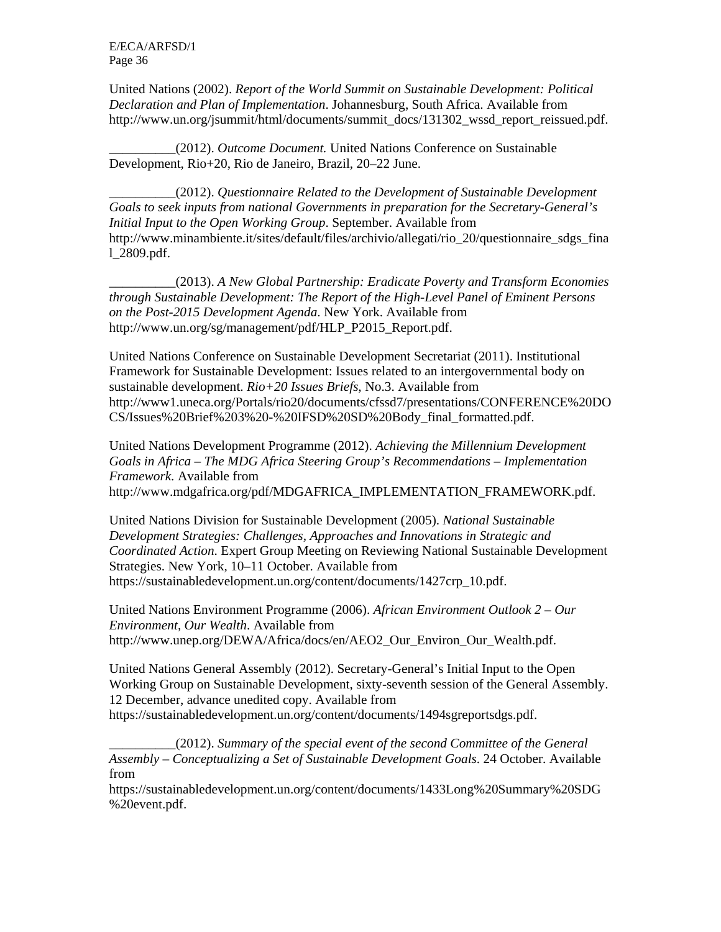E/ECA/ARFSD/1 Page 36

United Nations (2002). *Report of the World Summit on Sustainable Development: Political Declaration and Plan of Implementation*. Johannesburg, South Africa. Available from http://www.un.org/jsummit/html/documents/summit\_docs/131302\_wssd\_report\_reissued.pdf.

\_\_\_\_\_\_\_\_\_\_(2012). *Outcome Document.* United Nations Conference on Sustainable Development, Rio+20, Rio de Janeiro, Brazil, 20–22 June.

\_\_\_\_\_\_\_\_\_\_(2012). *Questionnaire Related to the Development of Sustainable Development Goals to seek inputs from national Governments in preparation for the Secretary-General's Initial Input to the Open Working Group*. September. Available from http://www.minambiente.it/sites/default/files/archivio/allegati/rio\_20/questionnaire\_sdgs\_fina l\_2809.pdf.

\_\_\_\_\_\_\_\_\_\_(2013). *A New Global Partnership: Eradicate Poverty and Transform Economies through Sustainable Development: The Report of the High-Level Panel of Eminent Persons on the Post-2015 Development Agenda*. New York. Available from http://www.un.org/sg/management/pdf/HLP\_P2015\_Report.pdf.

United Nations Conference on Sustainable Development Secretariat (2011). Institutional Framework for Sustainable Development: Issues related to an intergovernmental body on sustainable development. *Rio+20 Issues Briefs*, No.3. Available from http://www1.uneca.org/Portals/rio20/documents/cfssd7/presentations/CONFERENCE%20DO CS/Issues%20Brief%203%20-%20IFSD%20SD%20Body\_final\_formatted.pdf.

United Nations Development Programme (2012). *Achieving the Millennium Development Goals in Africa – The MDG Africa Steering Group's Recommendations – Implementation Framework*. Available from http://www.mdgafrica.org/pdf/MDGAFRICA\_IMPLEMENTATION\_FRAMEWORK.pdf.

United Nations Division for Sustainable Development (2005). *National Sustainable Development Strategies: Challenges, Approaches and Innovations in Strategic and Coordinated Action*. Expert Group Meeting on Reviewing National Sustainable Development Strategies. New York, 10–11 October. Available from https://sustainabledevelopment.un.org/content/documents/1427crp\_10.pdf.

United Nations Environment Programme (2006). *African Environment Outlook 2 – Our Environment, Our Wealth*. Available from http://www.unep.org/DEWA/Africa/docs/en/AEO2\_Our\_Environ\_Our\_Wealth.pdf.

United Nations General Assembly (2012). Secretary-General's Initial Input to the Open Working Group on Sustainable Development, sixty-seventh session of the General Assembly. 12 December, advance unedited copy. Available from

https://sustainabledevelopment.un.org/content/documents/1494sgreportsdgs.pdf.

\_\_\_\_\_\_\_\_\_\_(2012). *Summary of the special event of the second Committee of the General Assembly – Conceptualizing a Set of Sustainable Development Goals*. 24 October. Available from

https://sustainabledevelopment.un.org/content/documents/1433Long%20Summary%20SDG %20event.pdf.